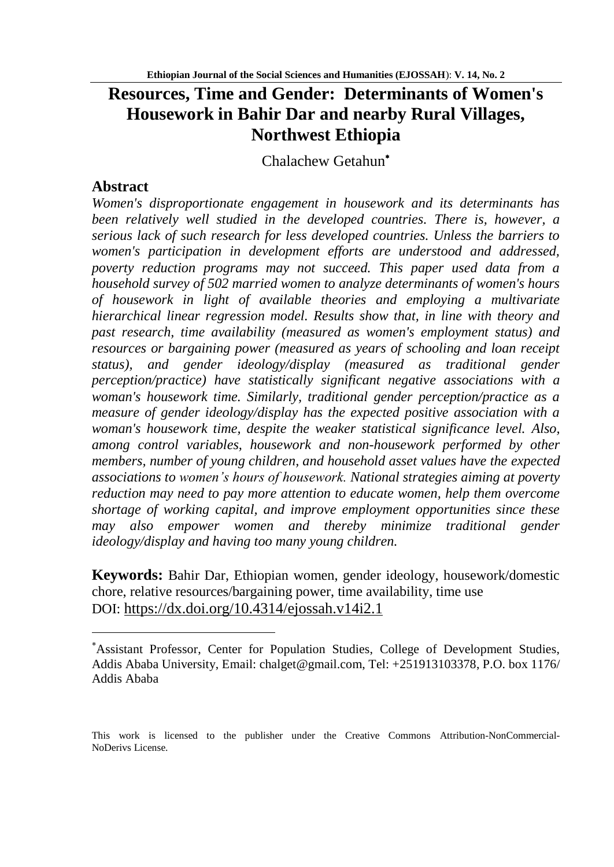# **Resources, Time and Gender: Determinants of Women's Housework in Bahir Dar and nearby Rural Villages, Northwest Ethiopia**

Chalachew Getahun

## **Abstract**

 $\overline{a}$ 

*Women's disproportionate engagement in housework and its determinants has been relatively well studied in the developed countries. There is, however, a serious lack of such research for less developed countries. Unless the barriers to women's participation in development efforts are understood and addressed, poverty reduction programs may not succeed. This paper used data from a household survey of 502 married women to analyze determinants of women's hours of housework in light of available theories and employing a multivariate hierarchical linear regression model. Results show that, in line with theory and past research, time availability (measured as women's employment status) and resources or bargaining power (measured as years of schooling and loan receipt status), and gender ideology/display (measured as traditional gender perception/practice) have statistically significant negative associations with a woman's housework time. Similarly, traditional gender perception/practice as a measure of gender ideology/display has the expected positive association with a woman's housework time, despite the weaker statistical significance level. Also, among control variables, housework and non-housework performed by other members, number of young children, and household asset values have the expected associations to women's hours of housework. National strategies aiming at poverty reduction may need to pay more attention to educate women, help them overcome shortage of working capital, and improve employment opportunities since these may also empower women and thereby minimize traditional gender ideology/display and having too many young children.*

**Keywords:** Bahir Dar, Ethiopian women, gender ideology, housework/domestic chore, relative resources/bargaining power, time availability, time use DOI: <https://dx.doi.org/10.4314/ejossah.v14i2.1>

Assistant Professor, Center for Population Studies, College of Development Studies, Addis Ababa University, Email: [chalget@gmail.com,](mailto:chalget@gmail.com) Tel: +251913103378, P.O. box 1176/ Addis Ababa

This work is licensed to the publisher under the Creative Commons Attribution-NonCommercial-NoDerivs License.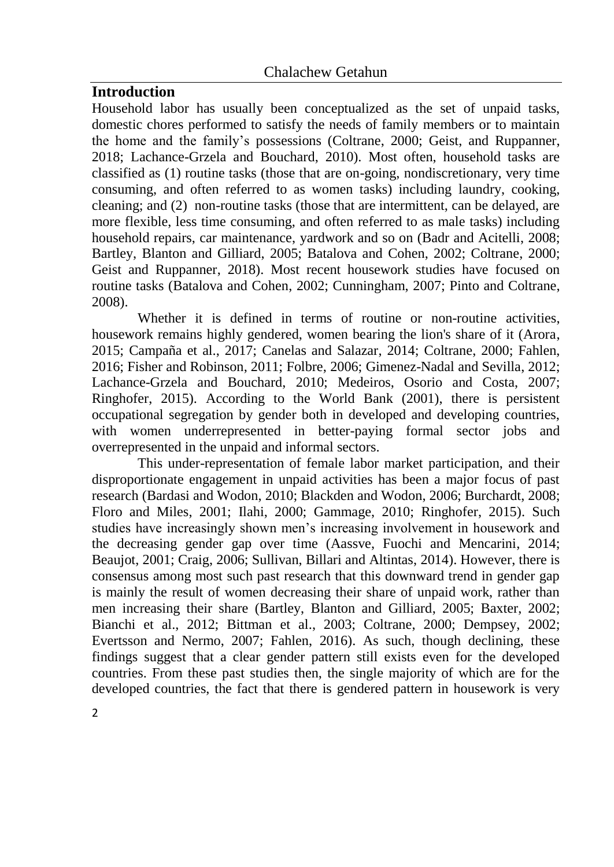## **Introduction**

Household labor has usually been conceptualized as the set of unpaid tasks, domestic chores performed to satisfy the needs of family members or to maintain the home and the family"s possessions (Coltrane, 2000; Geist, and Ruppanner, 2018; Lachance-Grzela and Bouchard, 2010). Most often, household tasks are classified as (1) routine tasks (those that are on-going, nondiscretionary, very time consuming, and often referred to as women tasks) including laundry, cooking, cleaning; and (2) non-routine tasks (those that are intermittent, can be delayed, are more flexible, less time consuming, and often referred to as male tasks) including household repairs, car maintenance, yardwork and so on (Badr and Acitelli, 2008; Bartley, Blanton and Gilliard, 2005; Batalova and Cohen, 2002; Coltrane, 2000; Geist and Ruppanner, 2018). Most recent housework studies have focused on routine tasks (Batalova and Cohen, 2002; Cunningham, 2007; Pinto and Coltrane, 2008).

Whether it is defined in terms of routine or non-routine activities, housework remains highly gendered, women bearing the lion's share of it (Arora, 2015; Campaña et al., 2017; Canelas and Salazar, 2014; Coltrane, 2000; Fahlen, 2016; Fisher and Robinson, 2011; Folbre, 2006; Gimenez-Nadal and Sevilla, 2012; Lachance-Grzela and Bouchard, 2010; Medeiros, Osorio and Costa, 2007; Ringhofer, 2015). According to the World Bank (2001), there is persistent occupational segregation by gender both in developed and developing countries, with women underrepresented in better-paying formal sector jobs and overrepresented in the unpaid and informal sectors.

This under-representation of female labor market participation, and their disproportionate engagement in unpaid activities has been a major focus of past research (Bardasi and Wodon, 2010; Blackden and Wodon, 2006; Burchardt, 2008; Floro and Miles, 2001; Ilahi, 2000; Gammage, 2010; Ringhofer, 2015). Such studies have increasingly shown men"s increasing involvement in housework and the decreasing gender gap over time (Aassve, Fuochi and Mencarini, 2014; Beaujot, 2001; Craig, 2006; Sullivan, Billari and Altintas, 2014). However, there is consensus among most such past research that this downward trend in gender gap is mainly the result of women decreasing their share of unpaid work, rather than men increasing their share (Bartley, Blanton and Gilliard, 2005; Baxter, 2002; Bianchi et al., 2012; Bittman et al., 2003; Coltrane, 2000; Dempsey, 2002; Evertsson and Nermo, 2007; Fahlen, 2016). As such, though declining, these findings suggest that a clear gender pattern still exists even for the developed countries. From these past studies then, the single majority of which are for the developed countries, the fact that there is gendered pattern in housework is very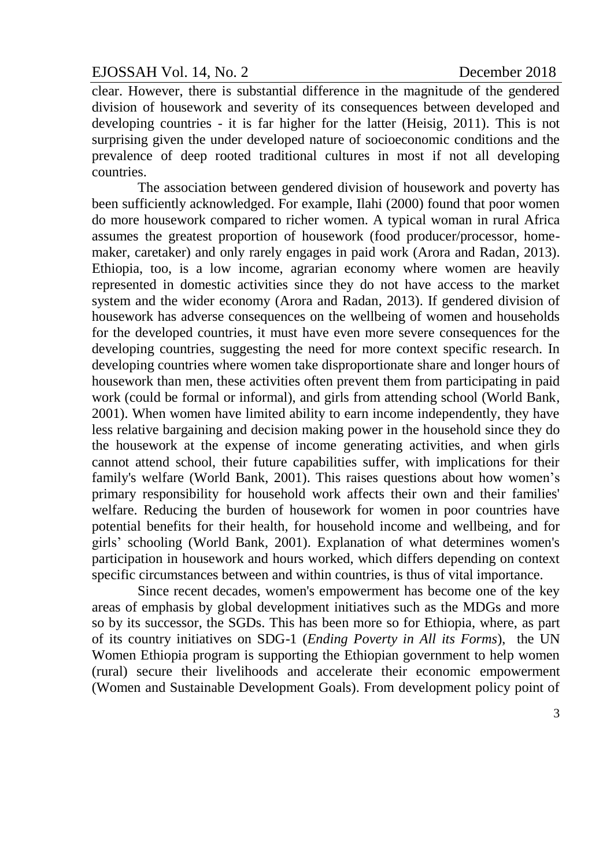clear. However, there is substantial difference in the magnitude of the gendered division of housework and severity of its consequences between developed and developing countries - it is far higher for the latter (Heisig, 2011). This is not surprising given the under developed nature of socioeconomic conditions and the prevalence of deep rooted traditional cultures in most if not all developing countries.

The association between gendered division of housework and poverty has been sufficiently acknowledged. For example, Ilahi (2000) found that poor women do more housework compared to richer women. A typical woman in rural Africa assumes the greatest proportion of housework (food producer/processor, homemaker, caretaker) and only rarely engages in paid work (Arora and Radan, 2013). Ethiopia, too, is a low income, agrarian economy where women are heavily represented in domestic activities since they do not have access to the market system and the wider economy (Arora and Radan, 2013). If gendered division of housework has adverse consequences on the wellbeing of women and households for the developed countries, it must have even more severe consequences for the developing countries, suggesting the need for more context specific research. In developing countries where women take disproportionate share and longer hours of housework than men, these activities often prevent them from participating in paid work (could be formal or informal), and girls from attending school (World Bank, 2001). When women have limited ability to earn income independently, they have less relative bargaining and decision making power in the household since they do the housework at the expense of income generating activities, and when girls cannot attend school, their future capabilities suffer, with implications for their family's welfare (World Bank, 2001). This raises questions about how women"s primary responsibility for household work affects their own and their families' welfare. Reducing the burden of housework for women in poor countries have potential benefits for their health, for household income and wellbeing, and for girls" schooling (World Bank, 2001). Explanation of what determines women's participation in housework and hours worked, which differs depending on context specific circumstances between and within countries, is thus of vital importance.

Since recent decades, women's empowerment has become one of the key areas of emphasis by global development initiatives such as the MDGs and more so by its successor, the SGDs. This has been more so for Ethiopia, where, as part of its country initiatives on SDG-1 (*Ending Poverty in All its Forms*), the UN Women Ethiopia program is supporting the Ethiopian government to help women (rural) secure their livelihoods and accelerate their economic empowerment (Women and Sustainable Development Goals). From development policy point of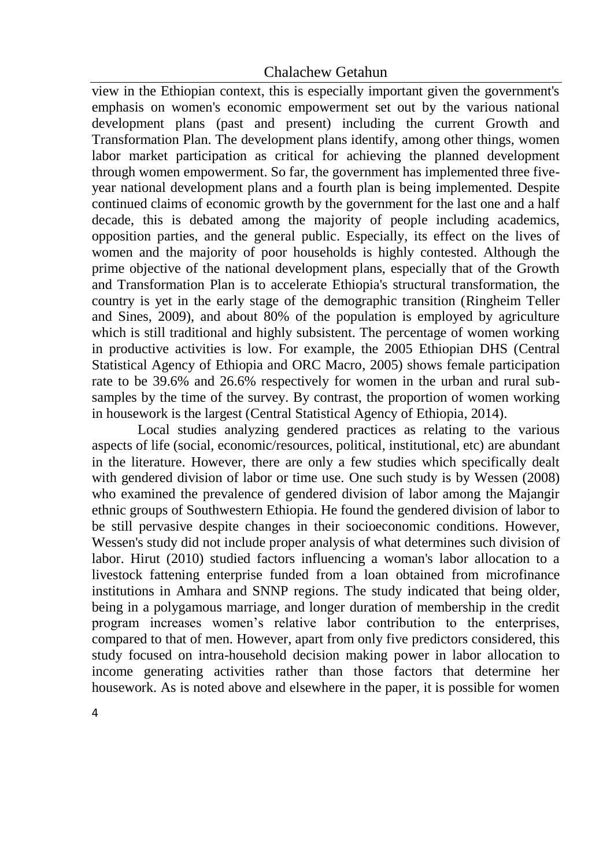view in the Ethiopian context, this is especially important given the government's emphasis on women's economic empowerment set out by the various national development plans (past and present) including the current Growth and Transformation Plan. The development plans identify, among other things, women labor market participation as critical for achieving the planned development through women empowerment. So far, the government has implemented three fiveyear national development plans and a fourth plan is being implemented. Despite continued claims of economic growth by the government for the last one and a half decade, this is debated among the majority of people including academics, opposition parties, and the general public. Especially, its effect on the lives of women and the majority of poor households is highly contested. Although the prime objective of the national development plans, especially that of the Growth and Transformation Plan is to accelerate Ethiopia's structural transformation, the country is yet in the early stage of the demographic transition (Ringheim Teller and Sines, 2009), and about 80% of the population is employed by agriculture which is still traditional and highly subsistent. The percentage of women working in productive activities is low. For example, the 2005 Ethiopian DHS (Central Statistical Agency of Ethiopia and ORC Macro, 2005) shows female participation rate to be 39.6% and 26.6% respectively for women in the urban and rural subsamples by the time of the survey. By contrast, the proportion of women working in housework is the largest (Central Statistical Agency of Ethiopia, 2014).

Local studies analyzing gendered practices as relating to the various aspects of life (social, economic/resources, political, institutional, etc) are abundant in the literature. However, there are only a few studies which specifically dealt with gendered division of labor or time use. One such study is by Wessen (2008) who examined the prevalence of gendered division of labor among the Majangir ethnic groups of Southwestern Ethiopia. He found the gendered division of labor to be still pervasive despite changes in their socioeconomic conditions. However, Wessen's study did not include proper analysis of what determines such division of labor. Hirut (2010) studied factors influencing a woman's labor allocation to a livestock fattening enterprise funded from a loan obtained from microfinance institutions in Amhara and SNNP regions. The study indicated that being older, being in a polygamous marriage, and longer duration of membership in the credit program increases women"s relative labor contribution to the enterprises, compared to that of men. However, apart from only five predictors considered, this study focused on intra-household decision making power in labor allocation to income generating activities rather than those factors that determine her housework. As is noted above and elsewhere in the paper, it is possible for women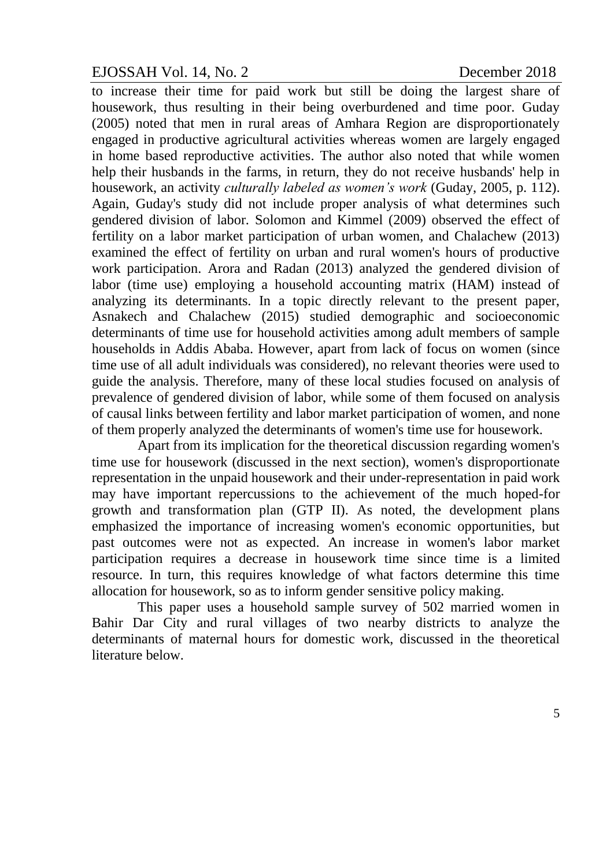to increase their time for paid work but still be doing the largest share of housework, thus resulting in their being overburdened and time poor. Guday (2005) noted that men in rural areas of Amhara Region are disproportionately engaged in productive agricultural activities whereas women are largely engaged in home based reproductive activities. The author also noted that while women help their husbands in the farms, in return, they do not receive husbands' help in housework, an activity *culturally labeled as women's work* (Guday, 2005, p. 112). Again, Guday's study did not include proper analysis of what determines such gendered division of labor. Solomon and Kimmel (2009) observed the effect of fertility on a labor market participation of urban women, and Chalachew (2013) examined the effect of fertility on urban and rural women's hours of productive work participation. Arora and Radan (2013) analyzed the gendered division of labor (time use) employing a household accounting matrix (HAM) instead of analyzing its determinants. In a topic directly relevant to the present paper, Asnakech and Chalachew (2015) studied demographic and socioeconomic determinants of time use for household activities among adult members of sample households in Addis Ababa. However, apart from lack of focus on women (since time use of all adult individuals was considered), no relevant theories were used to guide the analysis. Therefore, many of these local studies focused on analysis of prevalence of gendered division of labor, while some of them focused on analysis of causal links between fertility and labor market participation of women, and none of them properly analyzed the determinants of women's time use for housework.

Apart from its implication for the theoretical discussion regarding women's time use for housework (discussed in the next section), women's disproportionate representation in the unpaid housework and their under-representation in paid work may have important repercussions to the achievement of the much hoped-for growth and transformation plan (GTP II). As noted, the development plans emphasized the importance of increasing women's economic opportunities, but past outcomes were not as expected. An increase in women's labor market participation requires a decrease in housework time since time is a limited resource. In turn, this requires knowledge of what factors determine this time allocation for housework, so as to inform gender sensitive policy making.

This paper uses a household sample survey of 502 married women in Bahir Dar City and rural villages of two nearby districts to analyze the determinants of maternal hours for domestic work, discussed in the theoretical literature below.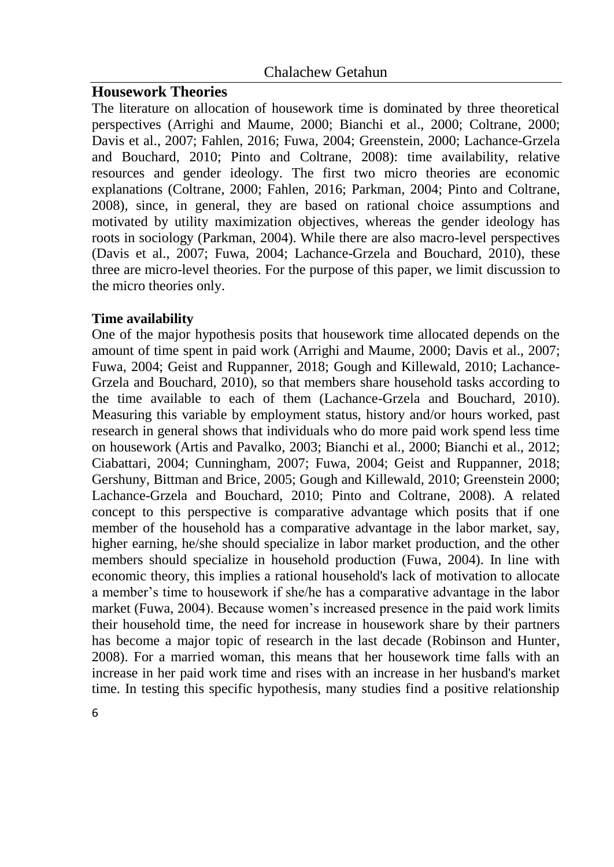## **Housework Theories**

The literature on allocation of housework time is dominated by three theoretical perspectives (Arrighi and Maume, 2000; Bianchi et al., 2000; Coltrane, 2000; Davis et al., 2007; Fahlen, 2016; Fuwa, 2004; Greenstein, 2000; Lachance-Grzela and Bouchard, 2010; Pinto and Coltrane, 2008): time availability, relative resources and gender ideology. The first two micro theories are economic explanations (Coltrane, 2000; Fahlen, 2016; Parkman, 2004; Pinto and Coltrane, 2008), since, in general, they are based on rational choice assumptions and motivated by utility maximization objectives, whereas the gender ideology has roots in sociology (Parkman, 2004). While there are also macro-level perspectives (Davis et al., 2007; Fuwa, 2004; Lachance-Grzela and Bouchard, 2010), these three are micro-level theories. For the purpose of this paper, we limit discussion to the micro theories only.

#### **Time availability**

One of the major hypothesis posits that housework time allocated depends on the amount of time spent in paid work (Arrighi and Maume, 2000; Davis et al., 2007; Fuwa, 2004; Geist and Ruppanner, 2018; Gough and Killewald, 2010; Lachance-Grzela and Bouchard, 2010), so that members share household tasks according to the time available to each of them (Lachance-Grzela and Bouchard, 2010). Measuring this variable by employment status, history and/or hours worked, past research in general shows that individuals who do more paid work spend less time on housework (Artis and Pavalko, 2003; Bianchi et al., 2000; Bianchi et al., 2012; Ciabattari, 2004; Cunningham, 2007; Fuwa, 2004; Geist and Ruppanner, 2018; Gershuny, Bittman and Brice, 2005; Gough and Killewald, 2010; Greenstein 2000; Lachance-Grzela and Bouchard, 2010; Pinto and Coltrane, 2008). A related concept to this perspective is comparative advantage which posits that if one member of the household has a comparative advantage in the labor market, say, higher earning, he/she should specialize in labor market production, and the other members should specialize in household production (Fuwa, 2004). In line with economic theory, this implies a rational household's lack of motivation to allocate a member"s time to housework if she/he has a comparative advantage in the labor market (Fuwa, 2004). Because women"s increased presence in the paid work limits their household time, the need for increase in housework share by their partners has become a major topic of research in the last decade (Robinson and Hunter, 2008). For a married woman, this means that her housework time falls with an increase in her paid work time and rises with an increase in her husband's market time. In testing this specific hypothesis, many studies find a positive relationship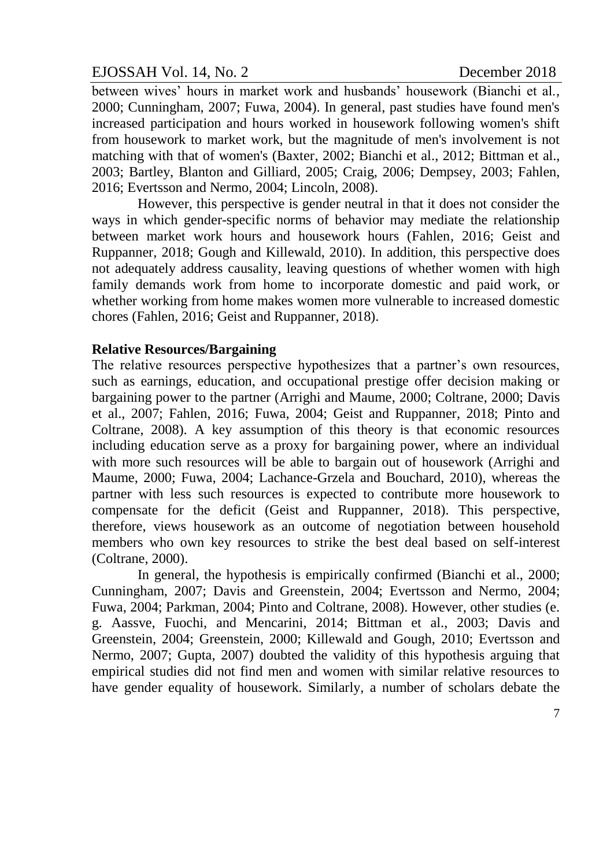between wives' hours in market work and husbands' housework (Bianchi et al., 2000; Cunningham, 2007; Fuwa, 2004). In general, past studies have found men's increased participation and hours worked in housework following women's shift from housework to market work, but the magnitude of men's involvement is not matching with that of women's (Baxter, 2002; Bianchi et al., 2012; Bittman et al., 2003; Bartley, Blanton and Gilliard, 2005; Craig, 2006; Dempsey, 2003; Fahlen, 2016; Evertsson and Nermo, 2004; Lincoln, 2008).

However, this perspective is gender neutral in that it does not consider the ways in which gender-specific norms of behavior may mediate the relationship between market work hours and housework hours (Fahlen, 2016; Geist and Ruppanner, 2018; Gough and Killewald, 2010). In addition, this perspective does not adequately address causality, leaving questions of whether women with high family demands work from home to incorporate domestic and paid work, or whether working from home makes women more vulnerable to increased domestic chores (Fahlen, 2016; Geist and Ruppanner, 2018).

#### **Relative Resources/Bargaining**

The relative resources perspective hypothesizes that a partner"s own resources, such as earnings, education, and occupational prestige offer decision making or bargaining power to the partner (Arrighi and Maume, 2000; Coltrane, 2000; Davis et al., 2007; Fahlen, 2016; Fuwa, 2004; Geist and Ruppanner, 2018; Pinto and Coltrane, 2008). A key assumption of this theory is that economic resources including education serve as a proxy for bargaining power, where an individual with more such resources will be able to bargain out of housework (Arrighi and Maume, 2000; Fuwa, 2004; Lachance-Grzela and Bouchard, 2010), whereas the partner with less such resources is expected to contribute more housework to compensate for the deficit (Geist and Ruppanner, 2018). This perspective, therefore, views housework as an outcome of negotiation between household members who own key resources to strike the best deal based on self-interest (Coltrane, 2000).

In general, the hypothesis is empirically confirmed (Bianchi et al., 2000; Cunningham, 2007; Davis and Greenstein, 2004; Evertsson and Nermo, 2004; Fuwa, 2004; Parkman, 2004; Pinto and Coltrane, 2008). However, other studies (e. g. Aassve, Fuochi, and Mencarini, 2014; Bittman et al., 2003; Davis and Greenstein, 2004; Greenstein, 2000; Killewald and Gough, 2010; Evertsson and Nermo, 2007; Gupta, 2007) doubted the validity of this hypothesis arguing that empirical studies did not find men and women with similar relative resources to have gender equality of housework. Similarly, a number of scholars debate the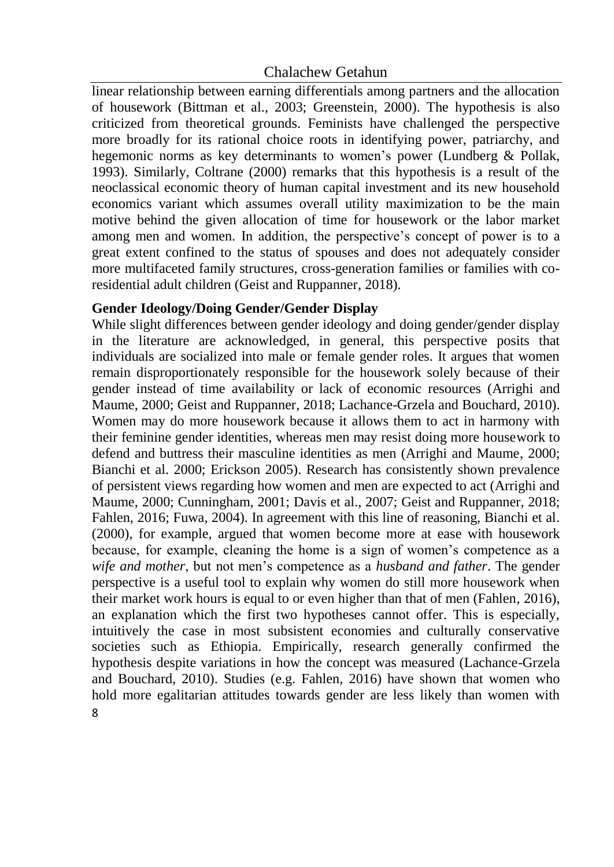linear relationship between earning differentials among partners and the allocation of housework (Bittman et al., 2003; Greenstein, 2000). The hypothesis is also criticized from theoretical grounds. Feminists have challenged the perspective more broadly for its rational choice roots in identifying power, patriarchy, and hegemonic norms as key determinants to women"s power (Lundberg & Pollak, 1993). Similarly, Coltrane (2000) remarks that this hypothesis is a result of the neoclassical economic theory of human capital investment and its new household economics variant which assumes overall utility maximization to be the main motive behind the given allocation of time for housework or the labor market among men and women. In addition, the perspective's concept of power is to a great extent confined to the status of spouses and does not adequately consider more multifaceted family structures, cross-generation families or families with coresidential adult children (Geist and Ruppanner, 2018).

## **Gender Ideology/Doing Gender/Gender Display**

8 While slight differences between gender ideology and doing gender/gender display in the literature are acknowledged, in general, this perspective posits that individuals are socialized into male or female gender roles. It argues that women remain disproportionately responsible for the housework solely because of their gender instead of time availability or lack of economic resources (Arrighi and Maume, 2000; Geist and Ruppanner, 2018; Lachance-Grzela and Bouchard, 2010). Women may do more housework because it allows them to act in harmony with their feminine gender identities, whereas men may resist doing more housework to defend and buttress their masculine identities as men (Arrighi and Maume, 2000; Bianchi et al. 2000; Erickson 2005). Research has consistently shown prevalence of persistent views regarding how women and men are expected to act (Arrighi and Maume, 2000; Cunningham, 2001; Davis et al., 2007; Geist and Ruppanner, 2018; Fahlen, 2016; Fuwa, 2004). In agreement with this line of reasoning, Bianchi et al. (2000), for example, argued that women become more at ease with housework because, for example, cleaning the home is a sign of women"s competence as a *wife and mother*, but not men"s competence as a *husband and father*. The gender perspective is a useful tool to explain why women do still more housework when their market work hours is equal to or even higher than that of men (Fahlen, 2016), an explanation which the first two hypotheses cannot offer. This is especially, intuitively the case in most subsistent economies and culturally conservative societies such as Ethiopia. Empirically, research generally confirmed the hypothesis despite variations in how the concept was measured (Lachance-Grzela and Bouchard, 2010). Studies (e.g. Fahlen, 2016) have shown that women who hold more egalitarian attitudes towards gender are less likely than women with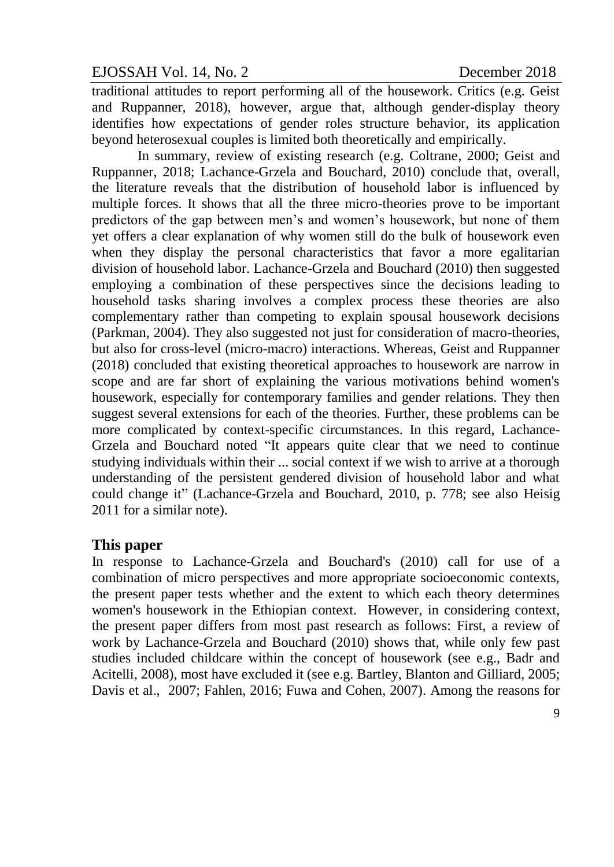traditional attitudes to report performing all of the housework. Critics (e.g. Geist and Ruppanner, 2018), however, argue that, although gender-display theory identifies how expectations of gender roles structure behavior, its application beyond heterosexual couples is limited both theoretically and empirically.

In summary, review of existing research (e.g. Coltrane, 2000; Geist and Ruppanner, 2018; Lachance-Grzela and Bouchard, 2010) conclude that, overall, the literature reveals that the distribution of household labor is influenced by multiple forces. It shows that all the three micro-theories prove to be important predictors of the gap between men"s and women"s housework, but none of them yet offers a clear explanation of why women still do the bulk of housework even when they display the personal characteristics that favor a more egalitarian division of household labor. Lachance-Grzela and Bouchard (2010) then suggested employing a combination of these perspectives since the decisions leading to household tasks sharing involves a complex process these theories are also complementary rather than competing to explain spousal housework decisions (Parkman, 2004). They also suggested not just for consideration of macro-theories, but also for cross-level (micro-macro) interactions. Whereas, Geist and Ruppanner (2018) concluded that existing theoretical approaches to housework are narrow in scope and are far short of explaining the various motivations behind women's housework, especially for contemporary families and gender relations. They then suggest several extensions for each of the theories. Further, these problems can be more complicated by context-specific circumstances. In this regard, Lachance-Grzela and Bouchard noted "It appears quite clear that we need to continue studying individuals within their ... social context if we wish to arrive at a thorough understanding of the persistent gendered division of household labor and what could change it" (Lachance-Grzela and Bouchard, 2010, p. 778; see also Heisig 2011 for a similar note).

#### **This paper**

In response to Lachance-Grzela and Bouchard's (2010) call for use of a combination of micro perspectives and more appropriate socioeconomic contexts, the present paper tests whether and the extent to which each theory determines women's housework in the Ethiopian context. However, in considering context, the present paper differs from most past research as follows: First, a review of work by Lachance-Grzela and Bouchard (2010) shows that, while only few past studies included childcare within the concept of housework (see e.g., Badr and Acitelli, 2008), most have excluded it (see e.g. Bartley, Blanton and Gilliard, 2005; Davis et al., 2007; Fahlen, 2016; Fuwa and Cohen, 2007). Among the reasons for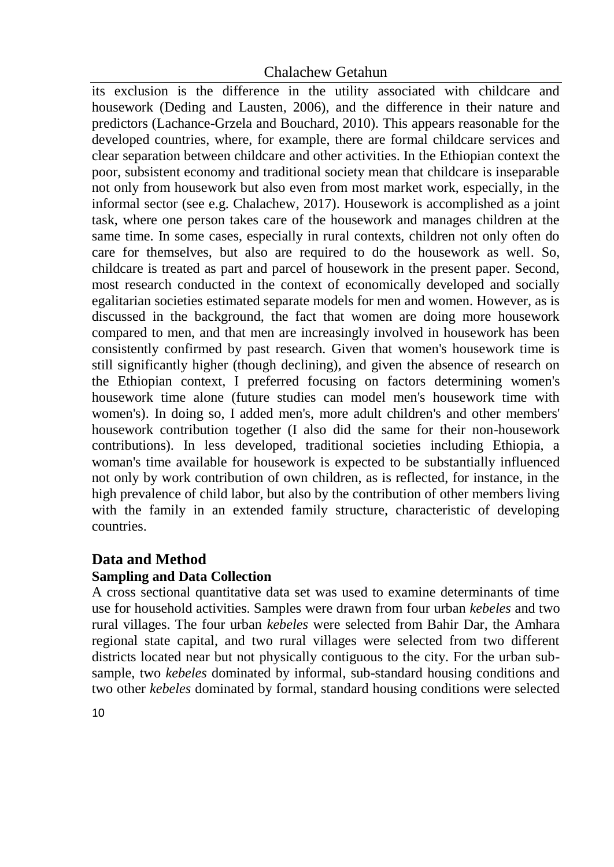its exclusion is the difference in the utility associated with childcare and housework (Deding and Lausten, 2006), and the difference in their nature and predictors (Lachance-Grzela and Bouchard, 2010). This appears reasonable for the developed countries, where, for example, there are formal childcare services and clear separation between childcare and other activities. In the Ethiopian context the poor, subsistent economy and traditional society mean that childcare is inseparable not only from housework but also even from most market work, especially, in the informal sector (see e.g. Chalachew, 2017). Housework is accomplished as a joint task, where one person takes care of the housework and manages children at the same time. In some cases, especially in rural contexts, children not only often do care for themselves, but also are required to do the housework as well. So, childcare is treated as part and parcel of housework in the present paper. Second, most research conducted in the context of economically developed and socially egalitarian societies estimated separate models for men and women. However, as is discussed in the background, the fact that women are doing more housework compared to men, and that men are increasingly involved in housework has been consistently confirmed by past research. Given that women's housework time is still significantly higher (though declining), and given the absence of research on the Ethiopian context, I preferred focusing on factors determining women's housework time alone (future studies can model men's housework time with women's). In doing so, I added men's, more adult children's and other members' housework contribution together (I also did the same for their non-housework contributions). In less developed, traditional societies including Ethiopia, a woman's time available for housework is expected to be substantially influenced not only by work contribution of own children, as is reflected, for instance, in the high prevalence of child labor, but also by the contribution of other members living with the family in an extended family structure, characteristic of developing countries.

## **Data and Method**

#### **Sampling and Data Collection**

A cross sectional quantitative data set was used to examine determinants of time use for household activities. Samples were drawn from four urban *kebeles* and two rural villages. The four urban *kebeles* were selected from Bahir Dar, the Amhara regional state capital, and two rural villages were selected from two different districts located near but not physically contiguous to the city. For the urban subsample, two *kebeles* dominated by informal, sub-standard housing conditions and two other *kebeles* dominated by formal, standard housing conditions were selected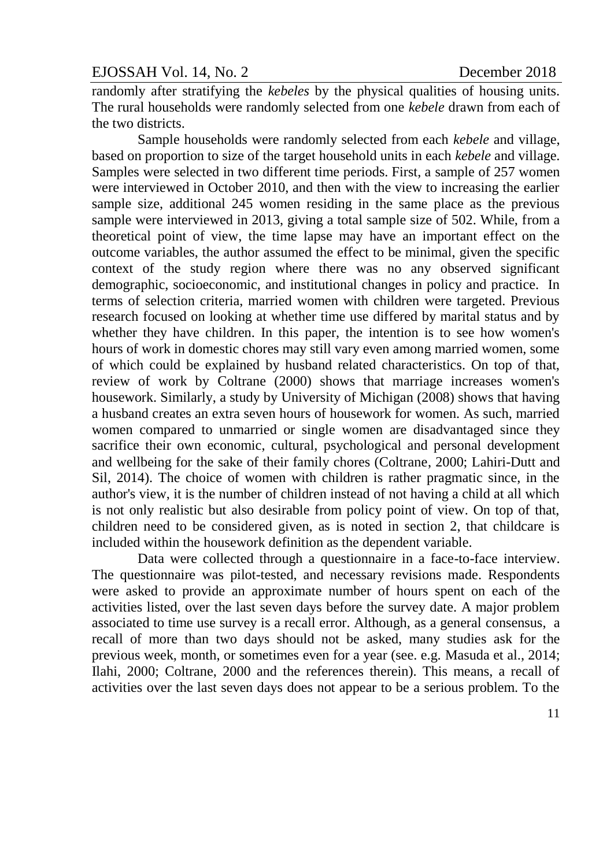randomly after stratifying the *kebeles* by the physical qualities of housing units. The rural households were randomly selected from one *kebele* drawn from each of the two districts.

Sample households were randomly selected from each *kebele* and village, based on proportion to size of the target household units in each *kebele* and village. Samples were selected in two different time periods. First, a sample of 257 women were interviewed in October 2010, and then with the view to increasing the earlier sample size, additional 245 women residing in the same place as the previous sample were interviewed in 2013, giving a total sample size of 502. While, from a theoretical point of view, the time lapse may have an important effect on the outcome variables, the author assumed the effect to be minimal, given the specific context of the study region where there was no any observed significant demographic, socioeconomic, and institutional changes in policy and practice. In terms of selection criteria, married women with children were targeted. Previous research focused on looking at whether time use differed by marital status and by whether they have children. In this paper, the intention is to see how women's hours of work in domestic chores may still vary even among married women, some of which could be explained by husband related characteristics. On top of that, review of work by Coltrane (2000) shows that marriage increases women's housework. Similarly, a study by University of Michigan (2008) shows that having a husband creates an extra seven hours of housework for women. As such, married women compared to unmarried or single women are disadvantaged since they sacrifice their own economic, cultural, psychological and personal development and wellbeing for the sake of their family chores (Coltrane, 2000; Lahiri-Dutt and Sil, 2014). The choice of women with children is rather pragmatic since, in the author's view, it is the number of children instead of not having a child at all which is not only realistic but also desirable from policy point of view. On top of that, children need to be considered given, as is noted in section 2, that childcare is included within the housework definition as the dependent variable.

Data were collected through a questionnaire in a face-to-face interview. The questionnaire was pilot-tested, and necessary revisions made. Respondents were asked to provide an approximate number of hours spent on each of the activities listed, over the last seven days before the survey date. A major problem associated to time use survey is a recall error. Although, as a general consensus, a recall of more than two days should not be asked, many studies ask for the previous week, month, or sometimes even for a year (see. e.g. Masuda et al., 2014; Ilahi, 2000; Coltrane, 2000 and the references therein). This means, a recall of activities over the last seven days does not appear to be a serious problem. To the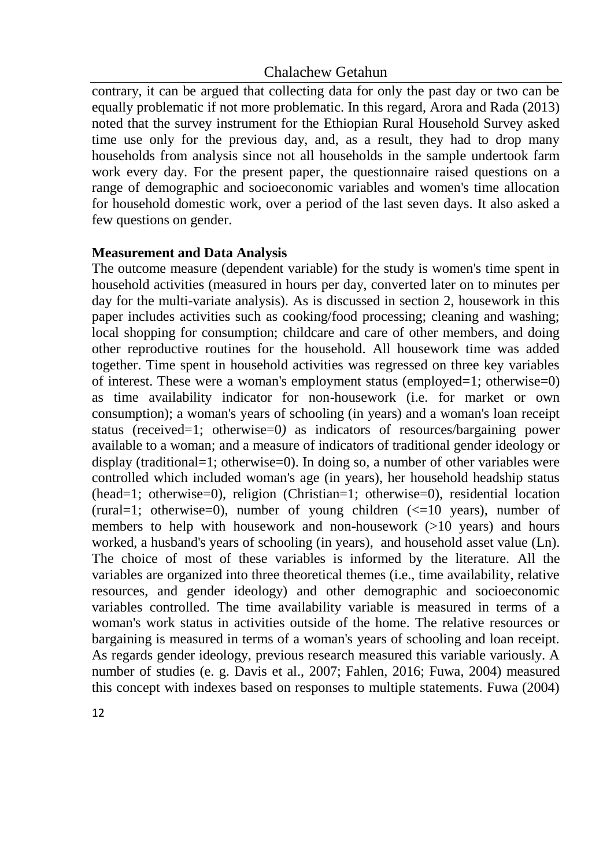contrary, it can be argued that collecting data for only the past day or two can be equally problematic if not more problematic. In this regard, Arora and Rada (2013) noted that the survey instrument for the Ethiopian Rural Household Survey asked time use only for the previous day, and, as a result, they had to drop many households from analysis since not all households in the sample undertook farm work every day. For the present paper, the questionnaire raised questions on a range of demographic and socioeconomic variables and women's time allocation for household domestic work, over a period of the last seven days. It also asked a few questions on gender.

#### **Measurement and Data Analysis**

The outcome measure (dependent variable) for the study is women's time spent in household activities (measured in hours per day, converted later on to minutes per day for the multi-variate analysis). As is discussed in section 2, housework in this paper includes activities such as cooking/food processing; cleaning and washing; local shopping for consumption; childcare and care of other members, and doing other reproductive routines for the household. All housework time was added together. Time spent in household activities was regressed on three key variables of interest. These were a woman's employment status (employed=1; otherwise=0) as time availability indicator for non-housework (i.e. for market or own consumption); a woman's years of schooling (in years) and a woman's loan receipt status (received=1; otherwise=0*)* as indicators of resources/bargaining power available to a woman; and a measure of indicators of traditional gender ideology or display (traditional=1; otherwise=0). In doing so, a number of other variables were controlled which included woman's age (in years), her household headship status (head=1; otherwise=0), religion (Christian=1; otherwise=0), residential location (rural=1; otherwise=0), number of young children  $\ll$ =10 years), number of members to help with housework and non-housework (>10 years) and hours worked, a husband's years of schooling (in years), and household asset value (Ln). The choice of most of these variables is informed by the literature. All the variables are organized into three theoretical themes (i.e., time availability, relative resources, and gender ideology) and other demographic and socioeconomic variables controlled. The time availability variable is measured in terms of a woman's work status in activities outside of the home. The relative resources or bargaining is measured in terms of a woman's years of schooling and loan receipt. As regards gender ideology, previous research measured this variable variously. A number of studies (e. g. Davis et al., 2007; Fahlen, 2016; Fuwa, 2004) measured this concept with indexes based on responses to multiple statements. Fuwa (2004)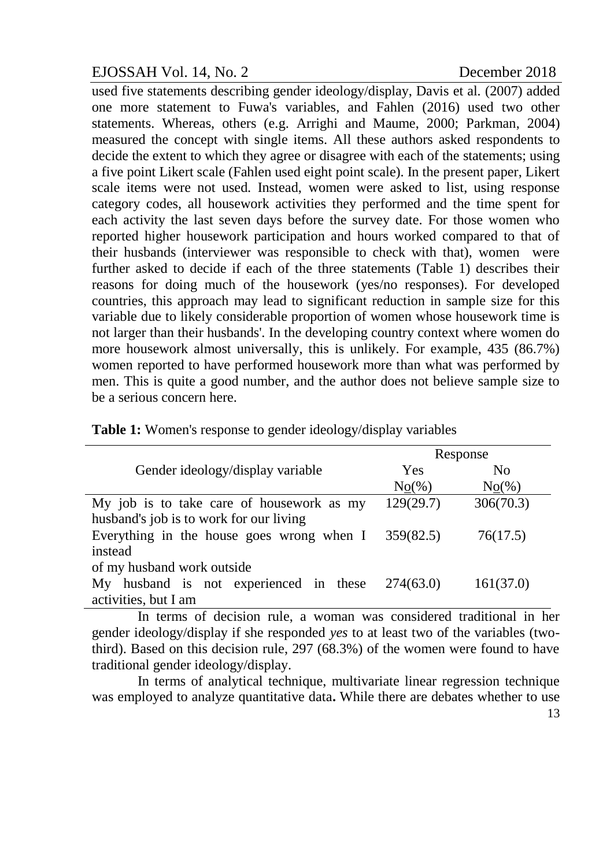used five statements describing gender ideology/display, Davis et al*.* (2007) added one more statement to Fuwa's variables, and Fahlen (2016) used two other statements. Whereas, others (e.g. Arrighi and Maume, 2000; Parkman, 2004) measured the concept with single items. All these authors asked respondents to decide the extent to which they agree or disagree with each of the statements; using a five point Likert scale (Fahlen used eight point scale). In the present paper, Likert scale items were not used. Instead, women were asked to list, using response category codes, all housework activities they performed and the time spent for each activity the last seven days before the survey date. For those women who reported higher housework participation and hours worked compared to that of their husbands (interviewer was responsible to check with that), women were further asked to decide if each of the three statements (Table 1) describes their reasons for doing much of the housework (yes/no responses). For developed countries, this approach may lead to significant reduction in sample size for this variable due to likely considerable proportion of women whose housework time is not larger than their husbands'. In the developing country context where women do more housework almost universally, this is unlikely. For example, 435 (86.7%) women reported to have performed housework more than what was performed by men. This is quite a good number, and the author does not believe sample size to be a serious concern here.

|                                           | Response  |           |  |  |
|-------------------------------------------|-----------|-----------|--|--|
| Gender ideology/display variable          | Yes       | No        |  |  |
|                                           | $No(\%)$  | $No(\%)$  |  |  |
| My job is to take care of housework as my | 129(29.7) | 306(70.3) |  |  |
| husband's job is to work for our living   |           |           |  |  |
| Everything in the house goes wrong when I | 359(82.5) | 76(17.5)  |  |  |
| instead                                   |           |           |  |  |
| of my husband work outside                |           |           |  |  |
| My husband is not experienced in these    | 274(63.0) | 161(37.0) |  |  |
| activities, but I am                      |           |           |  |  |

**Table 1:** Women's response to gender ideology/display variables

In terms of decision rule, a woman was considered traditional in her gender ideology/display if she responded *yes* to at least two of the variables (twothird). Based on this decision rule, 297 (68.3%) of the women were found to have traditional gender ideology/display.

In terms of analytical technique, multivariate linear regression technique was employed to analyze quantitative data**.** While there are debates whether to use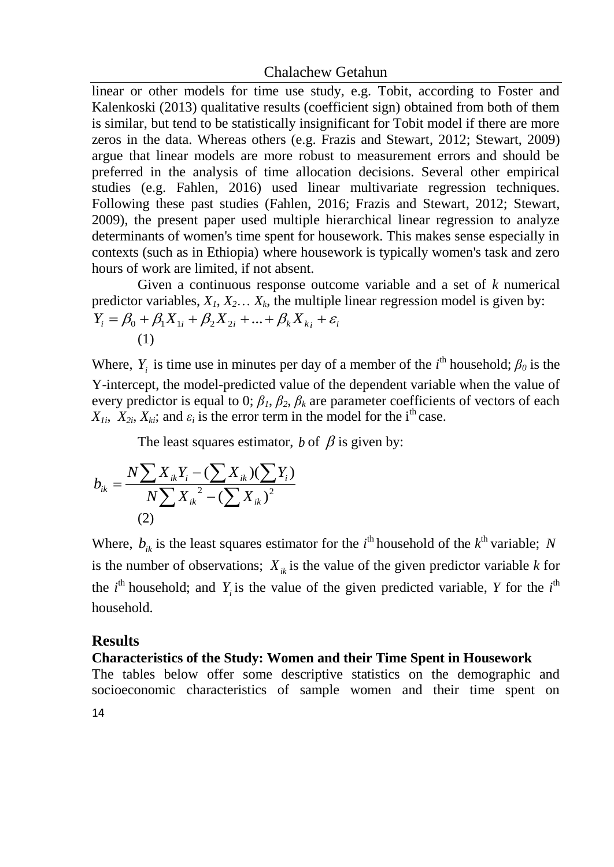linear or other models for time use study, e.g. Tobit, according to Foster and Kalenkoski (2013) qualitative results (coefficient sign) obtained from both of them is similar, but tend to be statistically insignificant for Tobit model if there are more zeros in the data. Whereas others (e.g. Frazis and Stewart, 2012; Stewart, 2009) argue that linear models are more robust to measurement errors and should be preferred in the analysis of time allocation decisions. Several other empirical studies (e.g. Fahlen, 2016) used linear multivariate regression techniques. Following these past studies (Fahlen, 2016; Frazis and Stewart, 2012; Stewart, 2009), the present paper used multiple hierarchical linear regression to analyze determinants of women's time spent for housework. This makes sense especially in contexts (such as in Ethiopia) where housework is typically women's task and zero hours of work are limited, if not absent.

Given a continuous response outcome variable and a set of *k* numerical predictor variables, *X1*, *X2*… *X<sup>k</sup>* , the multiple linear regression model is given by:  $Y_i = \beta_0 + \beta_1 X_{1i} + \beta_2 X_{2i} + \dots + \beta_k X_{ki} + \varepsilon_i$ 

$$
(\mathbf{1})
$$

Where,  $Y_i$  is time use in minutes per day of a member of the *i*<sup>th</sup> household;  $\beta_0$  is the Y-intercept, the model-predicted value of the dependent variable when the value of every predictor is equal to 0;  $\beta_1$ ,  $\beta_2$ ,  $\beta_k$  are parameter coefficients of vectors of each  $X_{1i}$ ,  $X_{2i}$ ,  $X_{ki}$ ; and  $\varepsilon_i$  is the error term in the model for the i<sup>th</sup> case.

The least squares estimator, *b* of  $\beta$  is given by:

$$
b_{ik} = \frac{N \sum X_{ik} Y_i - (\sum X_{ik})(\sum Y_i)}{N \sum X_{ik}^2 - (\sum X_{ik})^2}
$$
  
(2)

Where,  $b_{ik}$  is the least squares estimator for the *i*<sup>th</sup> household of the *k*<sup>th</sup> variable; *N* is the number of observations;  $X_{ik}$  is the value of the given predictor variable  $k$  for the  $i^{\text{th}}$  household; and  $Y_i$  is the value of the given predicted variable, *Y* for the  $i^{\text{th}}$ household.

## **Results**

## **Characteristics of the Study: Women and their Time Spent in Housework**

14 The tables below offer some descriptive statistics on the demographic and socioeconomic characteristics of sample women and their time spent on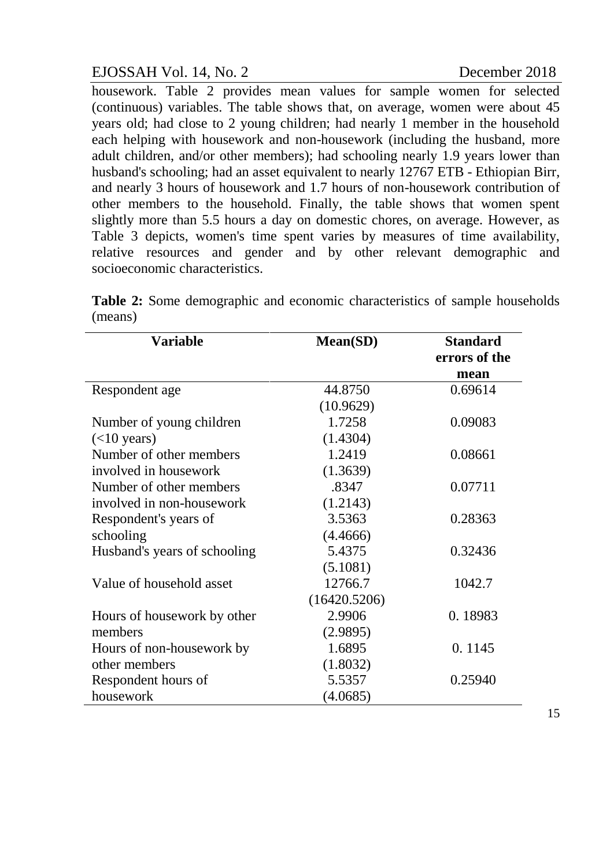housework. Table 2 provides mean values for sample women for selected (continuous) variables. The table shows that, on average, women were about 45 years old; had close to 2 young children; had nearly 1 member in the household each helping with housework and non-housework (including the husband, more adult children, and/or other members); had schooling nearly 1.9 years lower than husband's schooling; had an asset equivalent to nearly 12767 ETB - Ethiopian Birr, and nearly 3 hours of housework and 1.7 hours of non-housework contribution of other members to the household. Finally, the table shows that women spent slightly more than 5.5 hours a day on domestic chores, on average. However, as Table 3 depicts, women's time spent varies by measures of time availability, relative resources and gender and by other relevant demographic and socioeconomic characteristics.

|         |  |  | <b>Table 2:</b> Some demographic and economic characteristics of sample households |  |  |
|---------|--|--|------------------------------------------------------------------------------------|--|--|
| (means) |  |  |                                                                                    |  |  |

| <b>Variable</b>              | Mean(SD)     | <b>Standard</b><br>errors of the |
|------------------------------|--------------|----------------------------------|
|                              |              | mean                             |
| Respondent age               | 44.8750      | 0.69614                          |
|                              | (10.9629)    |                                  |
| Number of young children     | 1.7258       | 0.09083                          |
| $(<10$ years)                | (1.4304)     |                                  |
| Number of other members      | 1.2419       | 0.08661                          |
| involved in housework        | (1.3639)     |                                  |
| Number of other members      | .8347        | 0.07711                          |
| involved in non-housework    | (1.2143)     |                                  |
| Respondent's years of        | 3.5363       | 0.28363                          |
| schooling                    | (4.4666)     |                                  |
| Husband's years of schooling | 5.4375       | 0.32436                          |
|                              | (5.1081)     |                                  |
| Value of household asset     | 12766.7      | 1042.7                           |
|                              | (16420.5206) |                                  |
| Hours of housework by other  | 2.9906       | 0.18983                          |
| members                      | (2.9895)     |                                  |
| Hours of non-housework by    | 1.6895       | 0.1145                           |
| other members                | (1.8032)     |                                  |
| Respondent hours of          | 5.5357       | 0.25940                          |
| housework                    | (4.0685)     |                                  |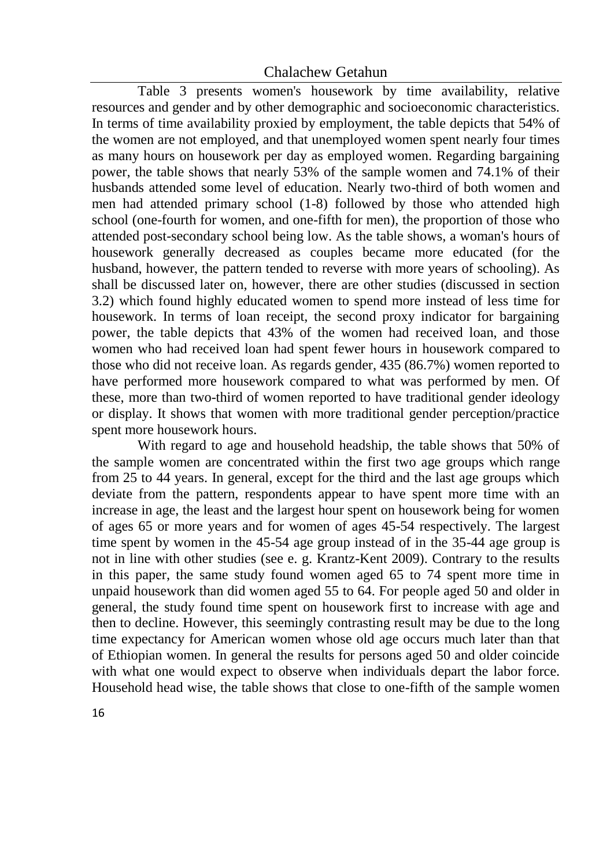Table 3 presents women's housework by time availability, relative resources and gender and by other demographic and socioeconomic characteristics. In terms of time availability proxied by employment, the table depicts that 54% of the women are not employed, and that unemployed women spent nearly four times as many hours on housework per day as employed women. Regarding bargaining power, the table shows that nearly 53% of the sample women and 74.1% of their husbands attended some level of education. Nearly two-third of both women and men had attended primary school (1-8) followed by those who attended high school (one-fourth for women, and one-fifth for men), the proportion of those who attended post-secondary school being low. As the table shows, a woman's hours of housework generally decreased as couples became more educated (for the husband, however, the pattern tended to reverse with more years of schooling). As shall be discussed later on, however, there are other studies (discussed in section 3.2) which found highly educated women to spend more instead of less time for housework. In terms of loan receipt, the second proxy indicator for bargaining power, the table depicts that 43% of the women had received loan, and those women who had received loan had spent fewer hours in housework compared to those who did not receive loan. As regards gender, 435 (86.7%) women reported to have performed more housework compared to what was performed by men. Of these, more than two-third of women reported to have traditional gender ideology or display. It shows that women with more traditional gender perception/practice spent more housework hours.

With regard to age and household headship, the table shows that 50% of the sample women are concentrated within the first two age groups which range from 25 to 44 years. In general, except for the third and the last age groups which deviate from the pattern, respondents appear to have spent more time with an increase in age, the least and the largest hour spent on housework being for women of ages 65 or more years and for women of ages 45-54 respectively. The largest time spent by women in the 45-54 age group instead of in the 35-44 age group is not in line with other studies (see e. g. Krantz-Kent 2009). Contrary to the results in this paper, the same study found women aged 65 to 74 spent more time in unpaid housework than did women aged 55 to 64. For people aged 50 and older in general, the study found time spent on housework first to increase with age and then to decline. However, this seemingly contrasting result may be due to the long time expectancy for American women whose old age occurs much later than that of Ethiopian women. In general the results for persons aged 50 and older coincide with what one would expect to observe when individuals depart the labor force. Household head wise, the table shows that close to one-fifth of the sample women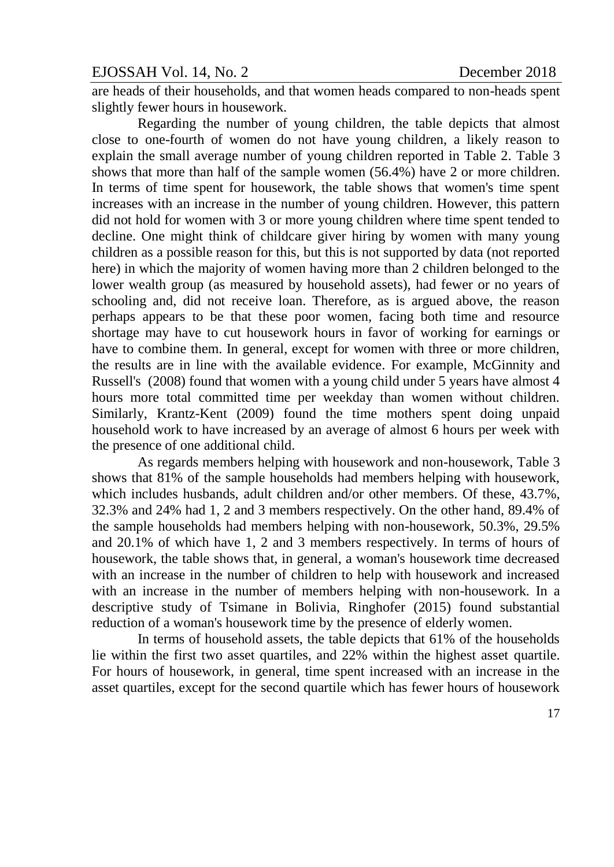are heads of their households, and that women heads compared to non-heads spent slightly fewer hours in housework.

Regarding the number of young children, the table depicts that almost close to one-fourth of women do not have young children, a likely reason to explain the small average number of young children reported in Table 2. Table 3 shows that more than half of the sample women (56.4%) have 2 or more children. In terms of time spent for housework, the table shows that women's time spent increases with an increase in the number of young children. However, this pattern did not hold for women with 3 or more young children where time spent tended to decline. One might think of childcare giver hiring by women with many young children as a possible reason for this, but this is not supported by data (not reported here) in which the majority of women having more than 2 children belonged to the lower wealth group (as measured by household assets), had fewer or no years of schooling and, did not receive loan. Therefore, as is argued above, the reason perhaps appears to be that these poor women, facing both time and resource shortage may have to cut housework hours in favor of working for earnings or have to combine them. In general, except for women with three or more children, the results are in line with the available evidence. For example, McGinnity and Russell's (2008) found that women with a young child under 5 years have almost 4 hours more total committed time per weekday than women without children. Similarly, Krantz-Kent (2009) found the time mothers spent doing unpaid household work to have increased by an average of almost 6 hours per week with the presence of one additional child.

As regards members helping with housework and non-housework, Table 3 shows that 81% of the sample households had members helping with housework, which includes husbands, adult children and/or other members. Of these, 43.7%, 32.3% and 24% had 1, 2 and 3 members respectively. On the other hand, 89.4% of the sample households had members helping with non-housework, 50.3%, 29.5% and 20.1% of which have 1, 2 and 3 members respectively. In terms of hours of housework, the table shows that, in general, a woman's housework time decreased with an increase in the number of children to help with housework and increased with an increase in the number of members helping with non-housework. In a descriptive study of Tsimane in Bolivia, Ringhofer (2015) found substantial reduction of a woman's housework time by the presence of elderly women.

In terms of household assets, the table depicts that 61% of the households lie within the first two asset quartiles, and 22% within the highest asset quartile. For hours of housework, in general, time spent increased with an increase in the asset quartiles, except for the second quartile which has fewer hours of housework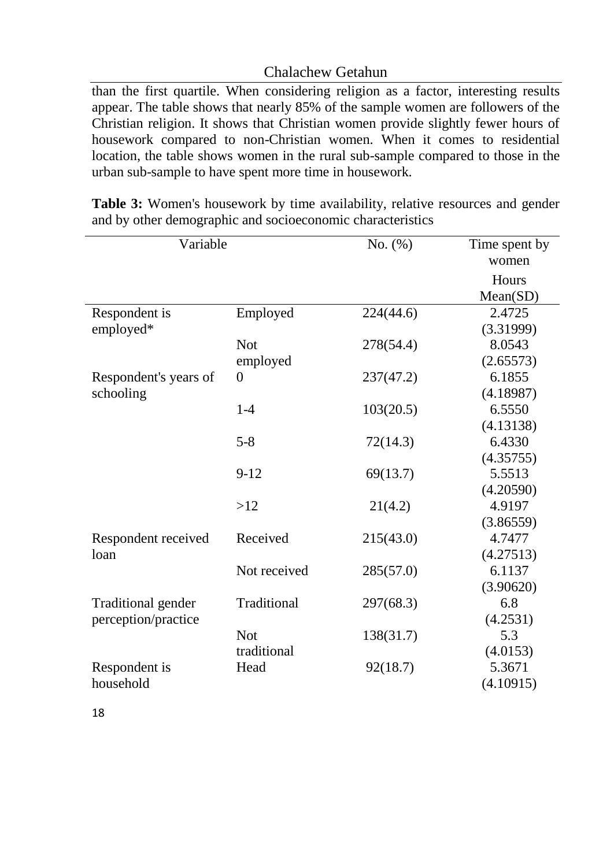than the first quartile. When considering religion as a factor, interesting results appear. The table shows that nearly 85% of the sample women are followers of the Christian religion. It shows that Christian women provide slightly fewer hours of housework compared to non-Christian women. When it comes to residential location, the table shows women in the rural sub-sample compared to those in the urban sub-sample to have spent more time in housework.

Table 3: Women's housework by time availability, relative resources and gender and by other demographic and socioeconomic characteristics

| Variable                  |              | No. (%)   | Time spent by |
|---------------------------|--------------|-----------|---------------|
|                           |              |           | women         |
|                           |              |           | Hours         |
|                           |              |           | Mean(SD)      |
| Respondent is             | Employed     | 224(44.6) | 2.4725        |
| employed*                 |              |           | (3.31999)     |
|                           | <b>Not</b>   | 278(54.4) | 8.0543        |
|                           | employed     |           | (2.65573)     |
| Respondent's years of     | 0            | 237(47.2) | 6.1855        |
| schooling                 |              |           | (4.18987)     |
|                           | $1 - 4$      | 103(20.5) | 6.5550        |
|                           |              |           | (4.13138)     |
|                           | $5 - 8$      | 72(14.3)  | 6.4330        |
|                           |              |           | (4.35755)     |
|                           | $9-12$       | 69(13.7)  | 5.5513        |
|                           |              |           | (4.20590)     |
|                           | >12          | 21(4.2)   | 4.9197        |
|                           |              |           | (3.86559)     |
| Respondent received       | Received     | 215(43.0) | 4.7477        |
| loan                      |              |           | (4.27513)     |
|                           | Not received | 285(57.0) | 6.1137        |
|                           |              |           | (3.90620)     |
| <b>Traditional</b> gender | Traditional  | 297(68.3) | 6.8           |
| perception/practice       |              |           | (4.2531)      |
|                           | <b>Not</b>   | 138(31.7) | 5.3           |
|                           | traditional  |           | (4.0153)      |
| Respondent is             | Head         | 92(18.7)  | 5.3671        |
| household                 |              |           | (4.10915)     |

18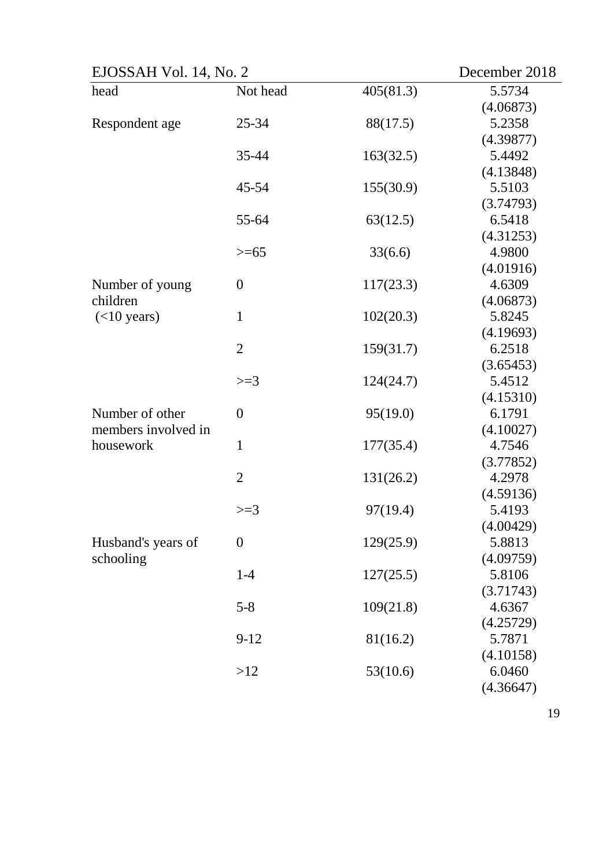| EJOSSAH Vol. 14, No. 2 | December 2018    |           |           |
|------------------------|------------------|-----------|-----------|
| head                   | Not head         | 405(81.3) | 5.5734    |
|                        |                  |           | (4.06873) |
| Respondent age         | 25-34            | 88(17.5)  | 5.2358    |
|                        |                  |           | (4.39877) |
|                        | 35-44            | 163(32.5) | 5.4492    |
|                        |                  |           | (4.13848) |
|                        | 45-54            | 155(30.9) | 5.5103    |
|                        |                  |           | (3.74793) |
|                        | 55-64            | 63(12.5)  | 6.5418    |
|                        |                  |           | (4.31253) |
|                        | $>= 65$          | 33(6.6)   | 4.9800    |
|                        |                  |           | (4.01916) |
| Number of young        | $\boldsymbol{0}$ | 117(23.3) | 4.6309    |
| children               |                  |           | (4.06873) |
| $(<$ 10 years)         | $\mathbf{1}$     | 102(20.3) | 5.8245    |
|                        |                  |           | (4.19693) |
|                        | $\overline{2}$   | 159(31.7) | 6.2518    |
|                        |                  |           | (3.65453) |
|                        | $>=3$            | 124(24.7) | 5.4512    |
|                        |                  |           | (4.15310) |
| Number of other        | $\overline{0}$   | 95(19.0)  | 6.1791    |
| members involved in    |                  |           | (4.10027) |
| housework              | $\mathbf{1}$     | 177(35.4) | 4.7546    |
|                        |                  |           | (3.77852) |
|                        | $\overline{2}$   | 131(26.2) | 4.2978    |
|                        |                  |           | (4.59136) |
|                        | $>=3$            | 97(19.4)  | 5.4193    |
|                        |                  |           | (4.00429) |
| Husband's years of     | $\overline{0}$   | 129(25.9) | 5.8813    |
| schooling              |                  |           | (4.09759) |
|                        | $1-4$            | 127(25.5) | 5.8106    |
|                        |                  |           | (3.71743) |
|                        | $5 - 8$          | 109(21.8) | 4.6367    |
|                        |                  |           | (4.25729) |
|                        | $9 - 12$         | 81(16.2)  | 5.7871    |
|                        |                  |           | (4.10158) |
|                        | >12              | 53(10.6)  | 6.0460    |
|                        |                  |           | (4.36647) |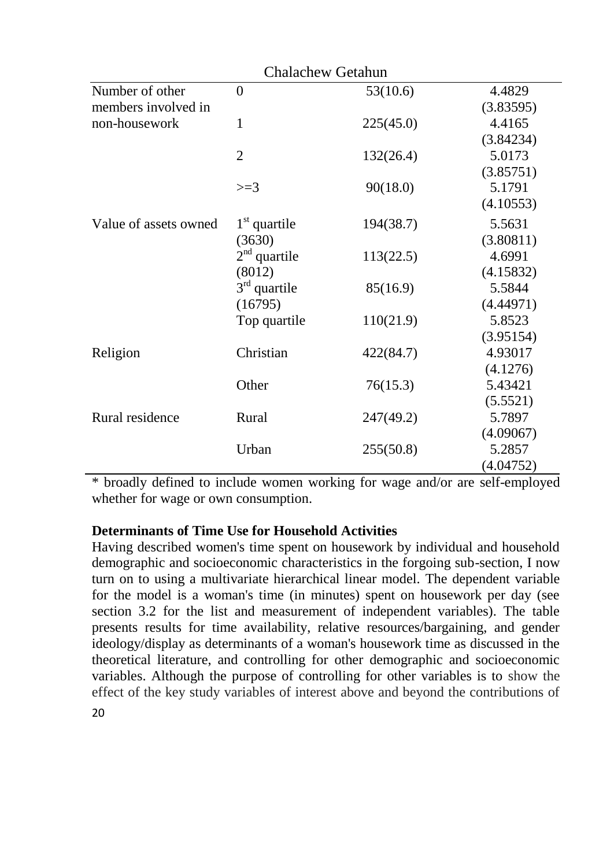|                       |                | <b>Chalachew Getahun</b> |           |
|-----------------------|----------------|--------------------------|-----------|
| Number of other       | $\overline{0}$ | 53(10.6)                 | 4.4829    |
| members involved in   |                |                          | (3.83595) |
| non-housework         | 1              | 225(45.0)                | 4.4165    |
|                       |                |                          | (3.84234) |
|                       | $\overline{2}$ | 132(26.4)                | 5.0173    |
|                       |                |                          | (3.85751) |
|                       | $>=3$          | 90(18.0)                 | 5.1791    |
|                       |                |                          | (4.10553) |
| Value of assets owned | $1st$ quartile | 194(38.7)                | 5.5631    |
|                       | (3630)         |                          | (3.80811) |
|                       | $2nd$ quartile | 113(22.5)                | 4.6991    |
|                       | (8012)         |                          | (4.15832) |
|                       | $3rd$ quartile | 85(16.9)                 | 5.5844    |
|                       | (16795)        |                          | (4.44971) |
|                       | Top quartile   | 110(21.9)                | 5.8523    |
|                       |                |                          | (3.95154) |
| Religion              | Christian      | 422(84.7)                | 4.93017   |
|                       |                |                          | (4.1276)  |
|                       | Other          | 76(15.3)                 | 5.43421   |
|                       |                |                          | (5.5521)  |
| Rural residence       | Rural          | 247(49.2)                | 5.7897    |
|                       |                |                          | (4.09067) |
|                       | Urban          | 255(50.8)                | 5.2857    |
|                       |                |                          | (4.04752) |

\* broadly defined to include women working for wage and/or are self-employed whether for wage or own consumption.

## **Determinants of Time Use for Household Activities**

Having described women's time spent on housework by individual and household demographic and socioeconomic characteristics in the forgoing sub-section, I now turn on to using a multivariate hierarchical linear model. The dependent variable for the model is a woman's time (in minutes) spent on housework per day (see section 3.2 for the list and measurement of independent variables). The table presents results for time availability, relative resources/bargaining, and gender ideology/display as determinants of a woman's housework time as discussed in the theoretical literature, and controlling for other demographic and socioeconomic variables. Although the purpose of controlling for other variables is to show the effect of the key study variables of interest above and beyond the contributions of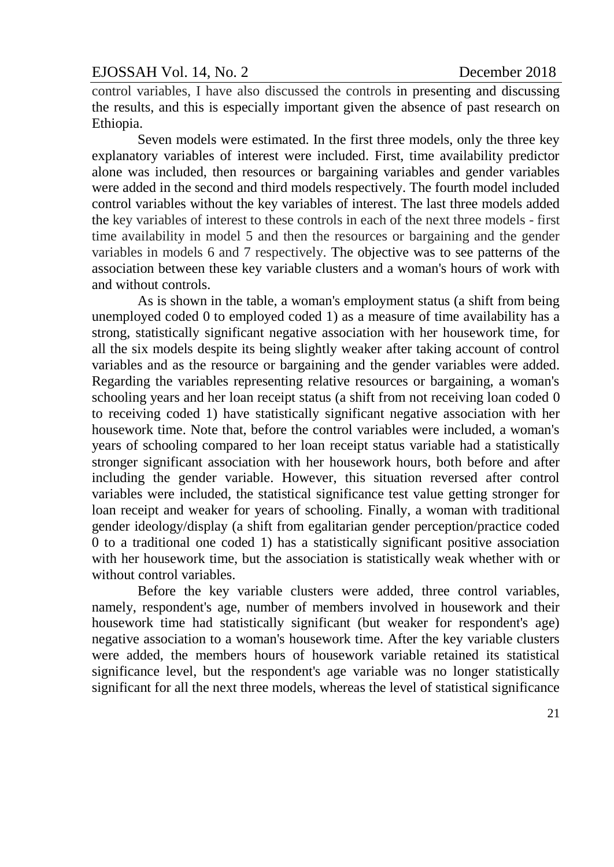control variables, I have also discussed the controls in presenting and discussing the results, and this is especially important given the absence of past research on Ethiopia.

Seven models were estimated. In the first three models, only the three key explanatory variables of interest were included. First, time availability predictor alone was included, then resources or bargaining variables and gender variables were added in the second and third models respectively. The fourth model included control variables without the key variables of interest. The last three models added the key variables of interest to these controls in each of the next three models - first time availability in model 5 and then the resources or bargaining and the gender variables in models 6 and 7 respectively. The objective was to see patterns of the association between these key variable clusters and a woman's hours of work with and without controls.

As is shown in the table, a woman's employment status (a shift from being unemployed coded 0 to employed coded 1) as a measure of time availability has a strong, statistically significant negative association with her housework time, for all the six models despite its being slightly weaker after taking account of control variables and as the resource or bargaining and the gender variables were added. Regarding the variables representing relative resources or bargaining, a woman's schooling years and her loan receipt status (a shift from not receiving loan coded 0 to receiving coded 1) have statistically significant negative association with her housework time. Note that, before the control variables were included, a woman's years of schooling compared to her loan receipt status variable had a statistically stronger significant association with her housework hours, both before and after including the gender variable. However, this situation reversed after control variables were included, the statistical significance test value getting stronger for loan receipt and weaker for years of schooling. Finally, a woman with traditional gender ideology/display (a shift from egalitarian gender perception/practice coded 0 to a traditional one coded 1) has a statistically significant positive association with her housework time, but the association is statistically weak whether with or without control variables.

Before the key variable clusters were added, three control variables, namely, respondent's age, number of members involved in housework and their housework time had statistically significant (but weaker for respondent's age) negative association to a woman's housework time. After the key variable clusters were added, the members hours of housework variable retained its statistical significance level, but the respondent's age variable was no longer statistically significant for all the next three models, whereas the level of statistical significance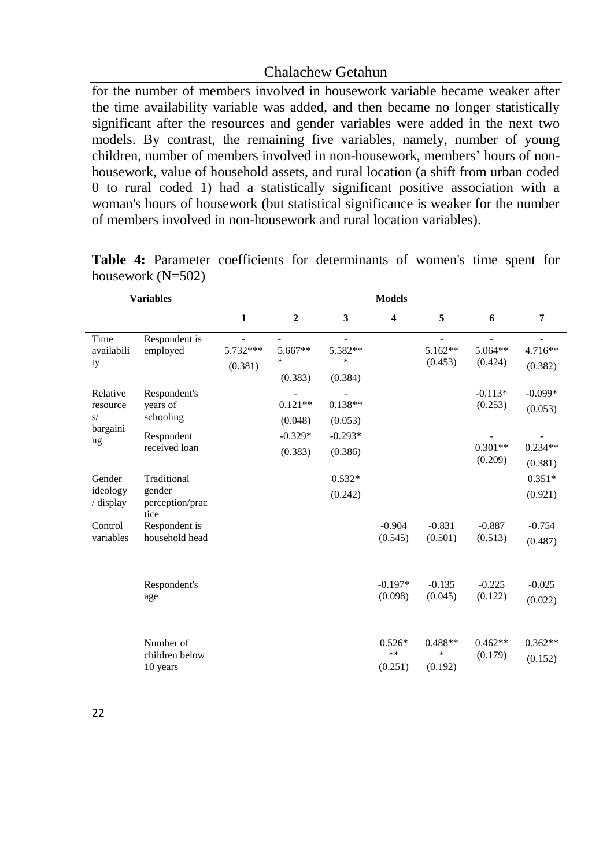for the number of members involved in housework variable became weaker after the time availability variable was added, and then became no longer statistically significant after the resources and gender variables were added in the next two models. By contrast, the remaining five variables, namely, number of young children, number of members involved in non-housework, members" hours of nonhousework, value of household assets, and rural location (a shift from urban coded 0 to rural coded 1) had a statistically significant positive association with a woman's hours of housework (but statistical significance is weaker for the number of members involved in non-housework and rural location variables).

|                                        | <b>Variables</b>                                    | <b>Models</b>             |                                   |                                                |                           |                                |                          |                              |  |  |
|----------------------------------------|-----------------------------------------------------|---------------------------|-----------------------------------|------------------------------------------------|---------------------------|--------------------------------|--------------------------|------------------------------|--|--|
|                                        |                                                     | $\mathbf{1}$              | $\overline{2}$                    | 3                                              | $\overline{\mathbf{4}}$   | 5                              | 6                        | 7                            |  |  |
| Time<br>availabili<br>ty               | Respondent is<br>employed                           | L.<br>5.732***<br>(0.381) | ٠<br>5.667**<br>$*$<br>(0.383)    | $\overline{a}$<br>5.582**<br>$\ast$<br>(0.384) |                           | ÷<br>$5.162**$<br>(0.453)      | ÷.<br>5.064**<br>(0.424) | $\sim$<br>4.716**<br>(0.382) |  |  |
| Relative<br>resource<br>s/<br>bargaini | Respondent's<br>years of<br>schooling<br>Respondent |                           | $0.121**$<br>(0.048)<br>$-0.329*$ | $0.138**$<br>(0.053)<br>$-0.293*$              |                           |                                | $-0.113*$<br>(0.253)     | $-0.099*$<br>(0.053)         |  |  |
| ng                                     | received loan                                       |                           | (0.383)                           | (0.386)                                        |                           |                                | $0.301**$<br>(0.209)     | $0.234**$<br>(0.381)         |  |  |
| Gender<br>ideology<br>/ display        | Traditional<br>gender<br>perception/prac<br>tice    |                           |                                   | $0.532*$<br>(0.242)                            |                           |                                |                          | $0.351*$<br>(0.921)          |  |  |
| Control<br>variables                   | Respondent is<br>household head                     |                           |                                   |                                                | $-0.904$<br>(0.545)       | $-0.831$<br>(0.501)            | $-0.887$<br>(0.513)      | $-0.754$<br>(0.487)          |  |  |
|                                        | Respondent's<br>age                                 |                           |                                   |                                                | $-0.197*$<br>(0.098)      | $-0.135$<br>(0.045)            | $-0.225$<br>(0.122)      | $-0.025$<br>(0.022)          |  |  |
|                                        | Number of<br>children below<br>10 years             |                           |                                   |                                                | $0.526*$<br>**<br>(0.251) | $0.488**$<br>$\ast$<br>(0.192) | $0.462**$<br>(0.179)     | $0.362**$<br>(0.152)         |  |  |

**Table 4:** Parameter coefficients for determinants of women's time spent for housework (N=502)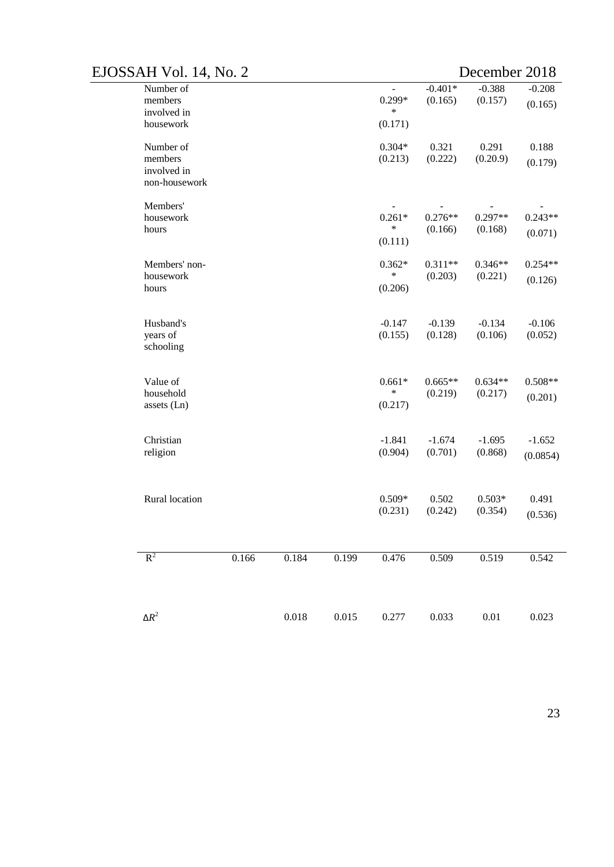|                          | $\ddotsc$ |       |       |                    |           |           |           |
|--------------------------|-----------|-------|-------|--------------------|-----------|-----------|-----------|
| Number of                |           |       |       | L.                 | $-0.401*$ | $-0.388$  | $-0.208$  |
| members                  |           |       |       | 0.299*             | (0.165)   | (0.157)   | (0.165)   |
| involved in              |           |       |       | $\ast$             |           |           |           |
| housework                |           |       |       | (0.171)            |           |           |           |
| Number of                |           |       |       | $0.304*$           | 0.321     | 0.291     | 0.188     |
| members                  |           |       |       | (0.213)            | (0.222)   | (0.20.9)  | (0.179)   |
| involved in              |           |       |       |                    |           |           |           |
| non-housework            |           |       |       |                    |           |           |           |
| Members'                 |           |       |       |                    |           |           |           |
| housework                |           |       |       | $0.261*$           | $0.276**$ | $0.297**$ | $0.243**$ |
| hours                    |           |       |       | $\ast$             | (0.166)   | (0.168)   | (0.071)   |
|                          |           |       |       | (0.111)            |           |           |           |
| Members' non-            |           |       |       | $0.362*$           | $0.311**$ | $0.346**$ | $0.254**$ |
| housework                |           |       |       | $\ast$             | (0.203)   | (0.221)   | (0.126)   |
| hours                    |           |       |       | (0.206)            |           |           |           |
|                          |           |       |       |                    |           |           |           |
| Husband's                |           |       |       | $-0.147$           | $-0.139$  | $-0.134$  | $-0.106$  |
| years of                 |           |       |       | (0.155)            | (0.128)   | (0.106)   | (0.052)   |
| schooling                |           |       |       |                    |           |           |           |
|                          |           |       |       |                    |           |           |           |
| Value of                 |           |       |       | $0.661*$<br>$\ast$ | $0.665**$ | $0.634**$ | $0.508**$ |
| household<br>assets (Ln) |           |       |       | (0.217)            | (0.219)   | (0.217)   | (0.201)   |
|                          |           |       |       |                    |           |           |           |
| Christian                |           |       |       | $-1.841$           | $-1.674$  | $-1.695$  | $-1.652$  |
| religion                 |           |       |       | (0.904)            | (0.701)   | (0.868)   |           |
|                          |           |       |       |                    |           |           | (0.0854)  |
|                          |           |       |       |                    |           |           |           |
| Rural location           |           |       |       | $0.509*$           | 0.502     | $0.503*$  | 0.491     |
|                          |           |       |       | (0.231)            | (0.242)   | (0.354)   | (0.536)   |
|                          |           |       |       |                    |           |           |           |
|                          |           |       |       |                    |           |           |           |
| $R^2$                    | 0.166     | 0.184 | 0.199 | 0.476              | 0.509     | 0.519     | 0.542     |
|                          |           |       |       |                    |           |           |           |
|                          |           |       |       |                    |           |           |           |
| $\Delta R^2$             |           | 0.018 | 0.015 | 0.277              | 0.033     | 0.01      | 0.023     |

23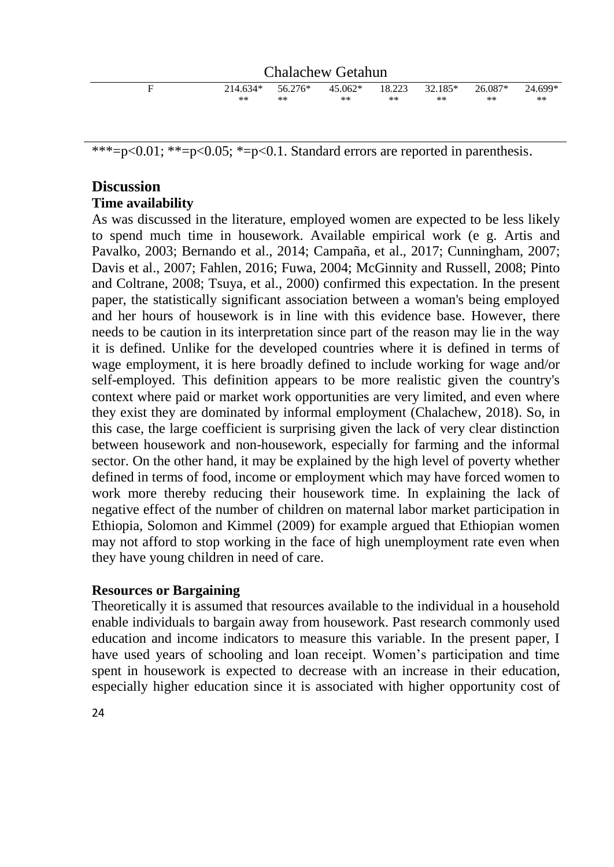| <b>Chalachew Getahun</b> |          |         |         |        |         |         |         |  |  |
|--------------------------|----------|---------|---------|--------|---------|---------|---------|--|--|
| F                        | 214.634* | 56.276* | 45.062* | 18.223 | 32.185* | 26.087* | 24.699* |  |  |
|                          | **       | **      | **      | $* *$  | **      | **      | **      |  |  |

\*\*\*=p<0.01; \*\*=p<0.05; \*=p<0.1. Standard errors are reported in parenthesis.

# **Discussion**

## **Time availability**

As was discussed in the literature, employed women are expected to be less likely to spend much time in housework. Available empirical work (e g. Artis and Pavalko, 2003; Bernando et al., 2014; Campaña, et al., 2017; Cunningham, 2007; Davis et al., 2007; Fahlen, 2016; Fuwa, 2004; McGinnity and Russell, 2008; Pinto and Coltrane, 2008; Tsuya, et al., 2000) confirmed this expectation. In the present paper, the statistically significant association between a woman's being employed and her hours of housework is in line with this evidence base. However, there needs to be caution in its interpretation since part of the reason may lie in the way it is defined. Unlike for the developed countries where it is defined in terms of wage employment, it is here broadly defined to include working for wage and/or self-employed. This definition appears to be more realistic given the country's context where paid or market work opportunities are very limited, and even where they exist they are dominated by informal employment (Chalachew, 2018). So, in this case, the large coefficient is surprising given the lack of very clear distinction between housework and non-housework, especially for farming and the informal sector. On the other hand, it may be explained by the high level of poverty whether defined in terms of food, income or employment which may have forced women to work more thereby reducing their housework time. In explaining the lack of negative effect of the number of children on maternal labor market participation in Ethiopia, Solomon and Kimmel (2009) for example argued that Ethiopian women may not afford to stop working in the face of high unemployment rate even when they have young children in need of care.

#### **Resources or Bargaining**

Theoretically it is assumed that resources available to the individual in a household enable individuals to bargain away from housework. Past research commonly used education and income indicators to measure this variable. In the present paper, I have used years of schooling and loan receipt. Women"s participation and time spent in housework is expected to decrease with an increase in their education, especially higher education since it is associated with higher opportunity cost of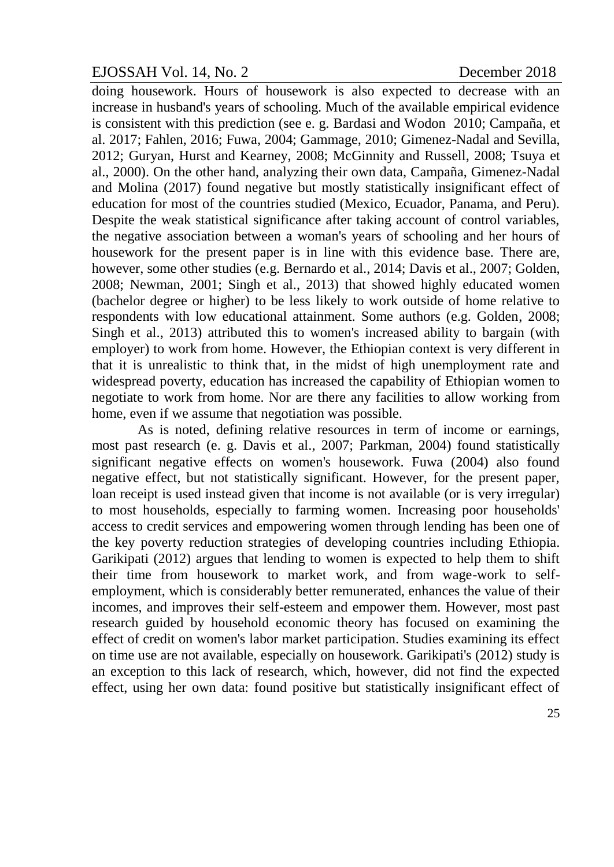doing housework. Hours of housework is also expected to decrease with an increase in husband's years of schooling. Much of the available empirical evidence is consistent with this prediction (see e. g. Bardasi and Wodon 2010; Campaña, et al. 2017; Fahlen, 2016; Fuwa, 2004; Gammage, 2010; Gimenez-Nadal and Sevilla, 2012; Guryan, Hurst and Kearney, 2008; McGinnity and Russell, 2008; Tsuya et al., 2000). On the other hand, analyzing their own data, Campaña, Gimenez-Nadal and Molina (2017) found negative but mostly statistically insignificant effect of education for most of the countries studied (Mexico, Ecuador, Panama, and Peru). Despite the weak statistical significance after taking account of control variables, the negative association between a woman's years of schooling and her hours of housework for the present paper is in line with this evidence base. There are, however, some other studies (e.g. Bernardo et al., 2014; Davis et al., 2007; Golden, 2008; Newman, 2001; Singh et al., 2013) that showed highly educated women (bachelor degree or higher) to be less likely to work outside of home relative to respondents with low educational attainment. Some authors (e.g. Golden, 2008; Singh et al., 2013) attributed this to women's increased ability to bargain (with employer) to work from home. However, the Ethiopian context is very different in that it is unrealistic to think that, in the midst of high unemployment rate and widespread poverty, education has increased the capability of Ethiopian women to negotiate to work from home. Nor are there any facilities to allow working from home, even if we assume that negotiation was possible.

As is noted, defining relative resources in term of income or earnings, most past research (e. g. Davis et al., 2007; Parkman, 2004) found statistically significant negative effects on women's housework. Fuwa (2004) also found negative effect, but not statistically significant. However, for the present paper, loan receipt is used instead given that income is not available (or is very irregular) to most households, especially to farming women. Increasing poor households' access to credit services and empowering women through lending has been one of the key poverty reduction strategies of developing countries including Ethiopia. Garikipati (2012) argues that lending to women is expected to help them to shift their time from housework to market work, and from wage-work to selfemployment, which is considerably better remunerated, enhances the value of their incomes, and improves their self-esteem and empower them. However, most past research guided by household economic theory has focused on examining the effect of credit on women's labor market participation. Studies examining its effect on time use are not available, especially on housework. Garikipati's (2012) study is an exception to this lack of research, which, however, did not find the expected effect, using her own data: found positive but statistically insignificant effect of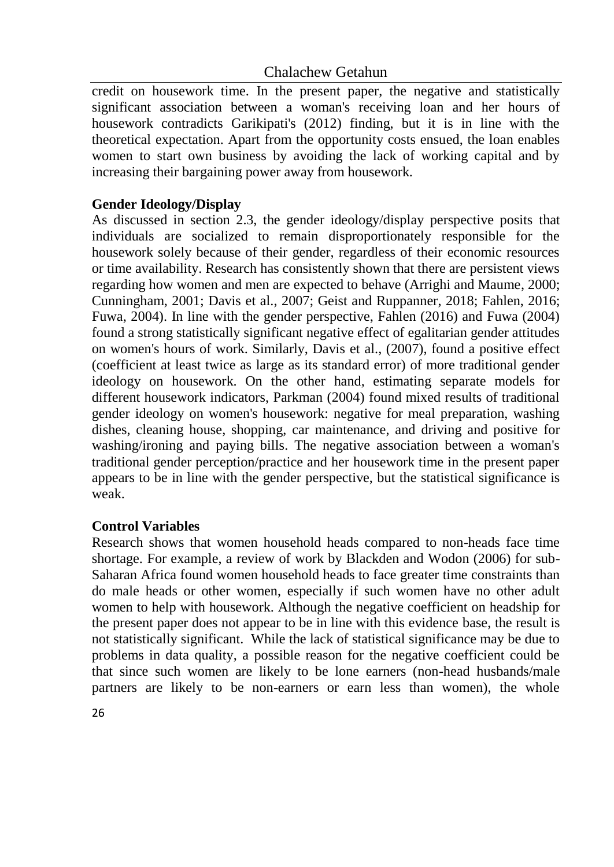credit on housework time. In the present paper, the negative and statistically significant association between a woman's receiving loan and her hours of housework contradicts Garikipati's (2012) finding, but it is in line with the theoretical expectation. Apart from the opportunity costs ensued, the loan enables women to start own business by avoiding the lack of working capital and by increasing their bargaining power away from housework.

## **Gender Ideology/Display**

As discussed in section 2.3, the gender ideology/display perspective posits that individuals are socialized to remain disproportionately responsible for the housework solely because of their gender, regardless of their economic resources or time availability. Research has consistently shown that there are persistent views regarding how women and men are expected to behave (Arrighi and Maume, 2000; Cunningham, 2001; Davis et al., 2007; Geist and Ruppanner, 2018; Fahlen, 2016; Fuwa, 2004). In line with the gender perspective, Fahlen (2016) and Fuwa (2004) found a strong statistically significant negative effect of egalitarian gender attitudes on women's hours of work. Similarly, Davis et al., (2007), found a positive effect (coefficient at least twice as large as its standard error) of more traditional gender ideology on housework. On the other hand, estimating separate models for different housework indicators, Parkman (2004) found mixed results of traditional gender ideology on women's housework: negative for meal preparation, washing dishes, cleaning house, shopping, car maintenance, and driving and positive for washing/ironing and paying bills. The negative association between a woman's traditional gender perception/practice and her housework time in the present paper appears to be in line with the gender perspective, but the statistical significance is weak.

## **Control Variables**

Research shows that women household heads compared to non-heads face time shortage. For example, a review of work by Blackden and Wodon (2006) for sub-Saharan Africa found women household heads to face greater time constraints than do male heads or other women, especially if such women have no other adult women to help with housework. Although the negative coefficient on headship for the present paper does not appear to be in line with this evidence base, the result is not statistically significant. While the lack of statistical significance may be due to problems in data quality, a possible reason for the negative coefficient could be that since such women are likely to be lone earners (non-head husbands/male partners are likely to be non-earners or earn less than women), the whole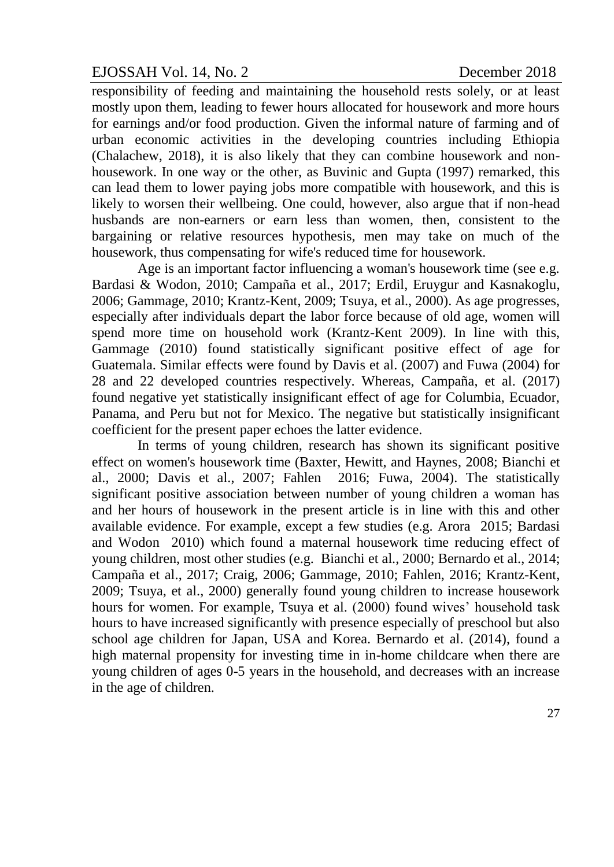responsibility of feeding and maintaining the household rests solely, or at least mostly upon them, leading to fewer hours allocated for housework and more hours for earnings and/or food production. Given the informal nature of farming and of urban economic activities in the developing countries including Ethiopia (Chalachew, 2018), it is also likely that they can combine housework and nonhousework. In one way or the other, as Buvinic and Gupta (1997) remarked, this can lead them to lower paying jobs more compatible with housework, and this is likely to worsen their wellbeing. One could, however, also argue that if non-head husbands are non-earners or earn less than women, then, consistent to the bargaining or relative resources hypothesis, men may take on much of the housework, thus compensating for wife's reduced time for housework.

Age is an important factor influencing a woman's housework time (see e.g. Bardasi & Wodon, 2010; Campaña et al., 2017; Erdil, Eruygur and Kasnakoglu, 2006; Gammage, 2010; Krantz-Kent, 2009; Tsuya, et al., 2000). As age progresses, especially after individuals depart the labor force because of old age, women will spend more time on household work (Krantz-Kent 2009). In line with this, Gammage (2010) found statistically significant positive effect of age for Guatemala. Similar effects were found by Davis et al. (2007) and Fuwa (2004) for 28 and 22 developed countries respectively. Whereas, Campaña, et al. (2017) found negative yet statistically insignificant effect of age for Columbia, Ecuador, Panama, and Peru but not for Mexico. The negative but statistically insignificant coefficient for the present paper echoes the latter evidence.

In terms of young children, research has shown its significant positive effect on women's housework time (Baxter, Hewitt, and Haynes, 2008; Bianchi et al., 2000; Davis et al., 2007; Fahlen 2016; Fuwa, 2004). The statistically significant positive association between number of young children a woman has and her hours of housework in the present article is in line with this and other available evidence. For example, except a few studies (e.g. Arora 2015; Bardasi and Wodon 2010) which found a maternal housework time reducing effect of young children, most other studies (e.g. Bianchi et al., 2000; Bernardo et al., 2014; Campaña et al., 2017; Craig, 2006; Gammage, 2010; Fahlen, 2016; Krantz-Kent, 2009; Tsuya, et al., 2000) generally found young children to increase housework hours for women. For example, Tsuya et al. (2000) found wives' household task hours to have increased significantly with presence especially of preschool but also school age children for Japan, USA and Korea. Bernardo et al. (2014), found a high maternal propensity for investing time in in-home childcare when there are young children of ages 0-5 years in the household, and decreases with an increase in the age of children.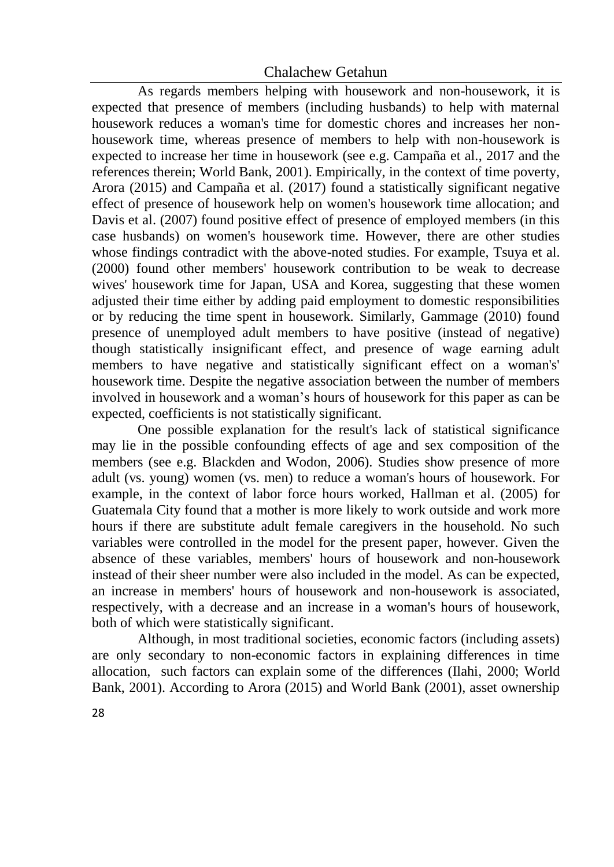As regards members helping with housework and non-housework, it is expected that presence of members (including husbands) to help with maternal housework reduces a woman's time for domestic chores and increases her nonhousework time, whereas presence of members to help with non-housework is expected to increase her time in housework (see e.g. Campaña et al., 2017 and the references therein; World Bank, 2001). Empirically, in the context of time poverty, Arora (2015) and Campaña et al. (2017) found a statistically significant negative effect of presence of housework help on women's housework time allocation; and Davis et al. (2007) found positive effect of presence of employed members (in this case husbands) on women's housework time. However, there are other studies whose findings contradict with the above-noted studies. For example, Tsuya et al. (2000) found other members' housework contribution to be weak to decrease wives' housework time for Japan, USA and Korea, suggesting that these women adjusted their time either by adding paid employment to domestic responsibilities or by reducing the time spent in housework. Similarly, Gammage (2010) found presence of unemployed adult members to have positive (instead of negative) though statistically insignificant effect, and presence of wage earning adult members to have negative and statistically significant effect on a woman's' housework time. Despite the negative association between the number of members involved in housework and a woman"s hours of housework for this paper as can be expected, coefficients is not statistically significant.

One possible explanation for the result's lack of statistical significance may lie in the possible confounding effects of age and sex composition of the members (see e.g. Blackden and Wodon, 2006). Studies show presence of more adult (vs. young) women (vs. men) to reduce a woman's hours of housework. For example, in the context of labor force hours worked, Hallman et al. (2005) for Guatemala City found that a mother is more likely to work outside and work more hours if there are substitute adult female caregivers in the household. No such variables were controlled in the model for the present paper, however. Given the absence of these variables, members' hours of housework and non-housework instead of their sheer number were also included in the model. As can be expected, an increase in members' hours of housework and non-housework is associated, respectively, with a decrease and an increase in a woman's hours of housework, both of which were statistically significant.

Although, in most traditional societies, economic factors (including assets) are only secondary to non-economic factors in explaining differences in time allocation, such factors can explain some of the differences (Ilahi, 2000; World Bank, 2001). According to Arora (2015) and World Bank (2001), asset ownership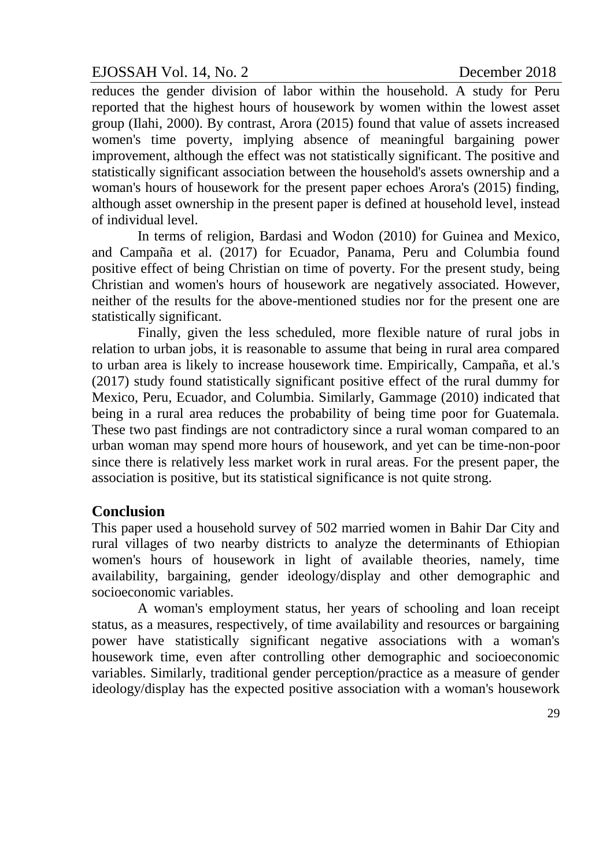reduces the gender division of labor within the household. A study for Peru reported that the highest hours of housework by women within the lowest asset group (Ilahi, 2000). By contrast, Arora (2015) found that value of assets increased women's time poverty, implying absence of meaningful bargaining power improvement, although the effect was not statistically significant. The positive and statistically significant association between the household's assets ownership and a woman's hours of housework for the present paper echoes Arora's (2015) finding, although asset ownership in the present paper is defined at household level, instead of individual level.

In terms of religion, Bardasi and Wodon (2010) for Guinea and Mexico, and Campaña et al. (2017) for Ecuador, Panama, Peru and Columbia found positive effect of being Christian on time of poverty. For the present study, being Christian and women's hours of housework are negatively associated. However, neither of the results for the above-mentioned studies nor for the present one are statistically significant.

Finally, given the less scheduled, more flexible nature of rural jobs in relation to urban jobs, it is reasonable to assume that being in rural area compared to urban area is likely to increase housework time. Empirically, Campaña, et al.'s (2017) study found statistically significant positive effect of the rural dummy for Mexico, Peru, Ecuador, and Columbia. Similarly, Gammage (2010) indicated that being in a rural area reduces the probability of being time poor for Guatemala. These two past findings are not contradictory since a rural woman compared to an urban woman may spend more hours of housework, and yet can be time-non-poor since there is relatively less market work in rural areas. For the present paper, the association is positive, but its statistical significance is not quite strong.

## **Conclusion**

This paper used a household survey of 502 married women in Bahir Dar City and rural villages of two nearby districts to analyze the determinants of Ethiopian women's hours of housework in light of available theories, namely, time availability, bargaining, gender ideology/display and other demographic and socioeconomic variables.

A woman's employment status, her years of schooling and loan receipt status, as a measures, respectively, of time availability and resources or bargaining power have statistically significant negative associations with a woman's housework time, even after controlling other demographic and socioeconomic variables. Similarly, traditional gender perception/practice as a measure of gender ideology/display has the expected positive association with a woman's housework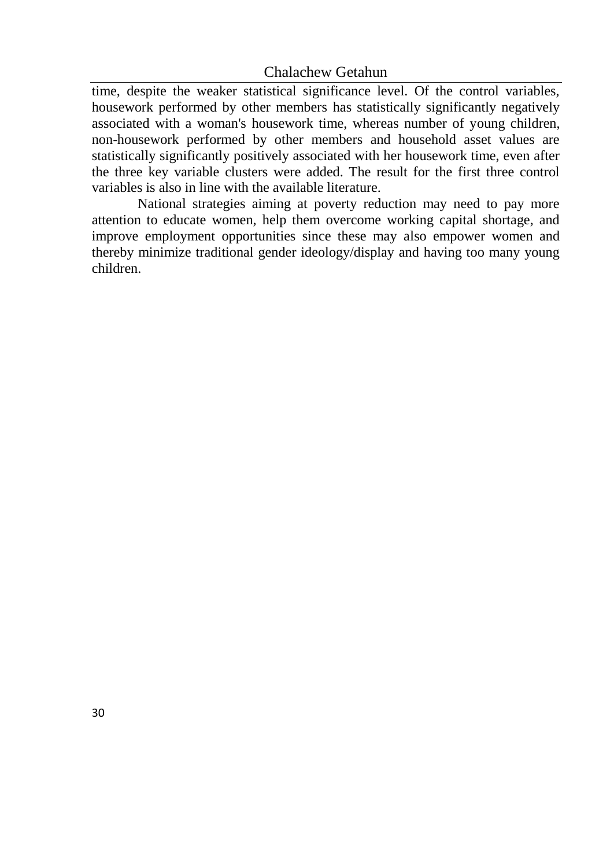time, despite the weaker statistical significance level. Of the control variables, housework performed by other members has statistically significantly negatively associated with a woman's housework time, whereas number of young children, non-housework performed by other members and household asset values are statistically significantly positively associated with her housework time, even after the three key variable clusters were added. The result for the first three control variables is also in line with the available literature.

National strategies aiming at poverty reduction may need to pay more attention to educate women, help them overcome working capital shortage, and improve employment opportunities since these may also empower women and thereby minimize traditional gender ideology/display and having too many young children.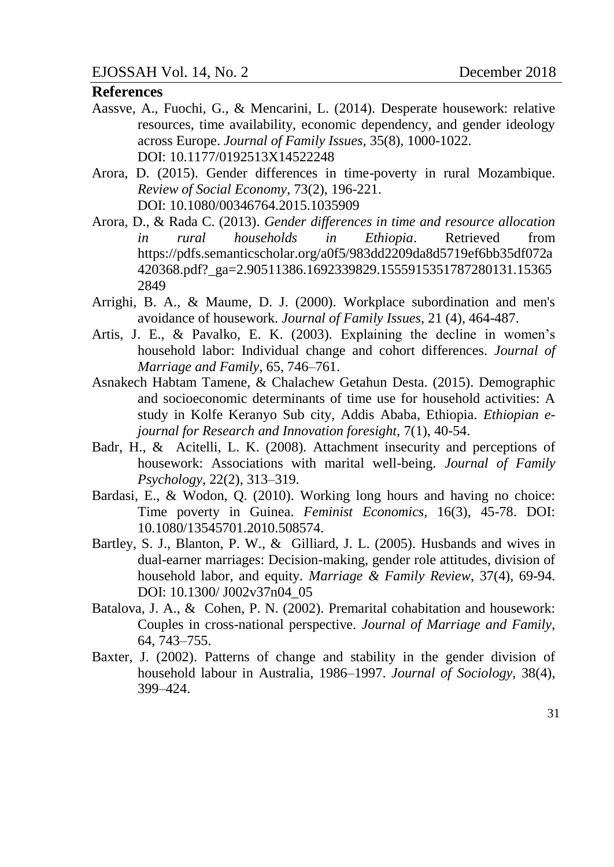## **References**

- Aassve, A., Fuochi, G., & Mencarini, L. (2014). Desperate housework: relative resources, time availability, economic dependency, and gender ideology across Europe. *Journal of Family Issues,* 35(8), 1000-1022. DOI: 10.1177/0192513X14522248
- Arora, D. (2015). Gender differences in time-poverty in rural Mozambique. *Review of Social Economy*, 73(2), 196-221. DOI: 10.1080/00346764.2015.1035909
- Arora, D., & Rada C. (2013). *Gender differences in time and resource allocation in rural households in Ethiopia*. Retrieved from [https://pdfs.semanticscholar.org/a0f5/983dd2209da8d5719ef6bb35df072a](https://pdfs.semanticscholar.org/a0f5/983dd2209da8d5719ef6bb35df072a420368.pdf?_ga=2.90511386.1692339829.1555915351787280131.153652849) [420368.pdf?\\_ga=2.90511386.1692339829.1555915351787280131.15365](https://pdfs.semanticscholar.org/a0f5/983dd2209da8d5719ef6bb35df072a420368.pdf?_ga=2.90511386.1692339829.1555915351787280131.153652849) [2849](https://pdfs.semanticscholar.org/a0f5/983dd2209da8d5719ef6bb35df072a420368.pdf?_ga=2.90511386.1692339829.1555915351787280131.153652849)
- Arrighi, B. A., & Maume, D. J. (2000). Workplace subordination and men's avoidance of housework. *Journal of Family Issues*, 21 (4), 464-487.
- Artis, J. E., & Pavalko, E. K. (2003). Explaining the decline in women"s household labor: Individual change and cohort differences. *Journal of Marriage and Family*, 65, 746–761.
- Asnakech Habtam Tamene, & Chalachew Getahun Desta. (2015). Demographic and socioeconomic determinants of time use for household activities: A study in Kolfe Keranyo Sub city, Addis Ababa, Ethiopia. *Ethiopian ejournal for Research and Innovation foresight,* 7(1), 40-54.
- Badr, H., & Acitelli, L. K. (2008). Attachment insecurity and perceptions of housework: Associations with marital well-being. *Journal of Family Psychology*, 22(2), 313–319.
- Bardasi, E., & Wodon, Q. (2010). Working long hours and having no choice: Time poverty in Guinea. *Feminist Economics,* 16(3), 45-78. DOI: 10.1080/13545701.2010.508574.
- Bartley, S. J., Blanton, P. W., & Gilliard, J. L. (2005). Husbands and wives in dual-earner marriages: Decision-making, gender role attitudes, division of household labor, and equity. *Marriage & Family Review*, 37(4), 69-94. DOI: 10.1300/ J002v37n04\_05
- Batalova, J. A., & Cohen, P. N. (2002). Premarital cohabitation and housework: Couples in cross-national perspective. *Journal of Marriage and Family*, 64, 743–755.
- Baxter, J. (2002). Patterns of change and stability in the gender division of household labour in Australia, 1986–1997. *Journal of Sociology,* 38(4), 399–424.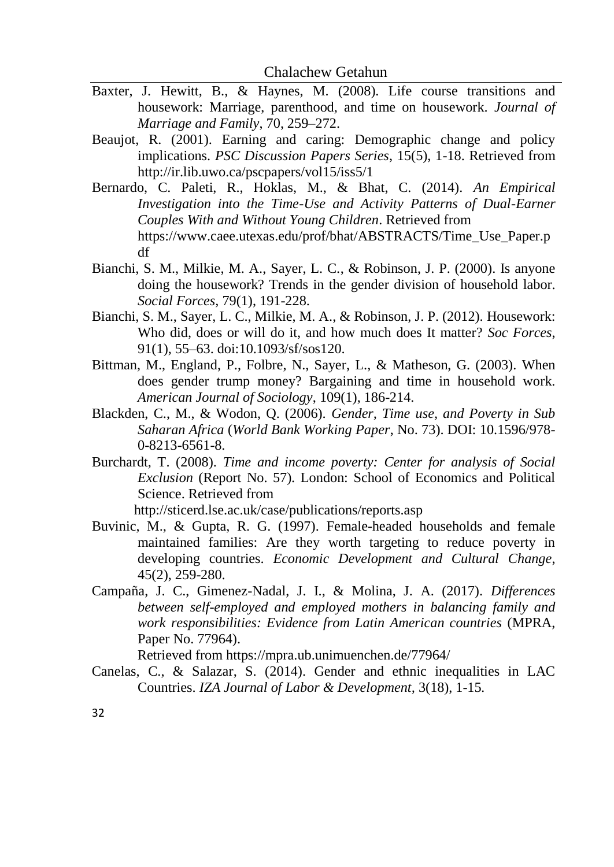- Baxter, J. Hewitt, B., & Haynes, M. (2008). Life course transitions and housework: Marriage, parenthood, and time on housework. *Journal of Marriage and Family*, 70, 259–272.
- Beaujot, R. (2001). Earning and caring: Demographic change and policy implications. *PSC Discussion Papers Series*, 15(5), 1-18. Retrieved from http://ir.lib.uwo.ca/pscpapers/vol15/iss5/1
- Bernardo, C. Paleti, R., Hoklas, M., & Bhat, C. (2014). *An Empirical Investigation into the Time-Use and Activity Patterns of Dual-Earner Couples With and Without Young Children*. Retrieved from https://www.caee.utexas.edu/prof/bhat/ABSTRACTS/Time\_Use\_Paper.p df
- Bianchi, S. M., Milkie, M. A., Sayer, L. C., & Robinson, J. P. (2000). Is anyone doing the housework? Trends in the gender division of household labor. *Social Forces,* 79(1), 191-228.
- Bianchi, S. M., Sayer, L. C., Milkie, M. A., & Robinson, J. P. (2012). Housework: Who did, does or will do it, and how much does It matter? *Soc Forces*, 91(1), 55–63. doi:10.1093/sf/sos120.
- Bittman, M., England, P., Folbre, N., Sayer, L., & Matheson, G. (2003). When does gender trump money? Bargaining and time in household work. *American Journal of Sociology*, 109(1), 186-214.
- Blackden, C., M., & Wodon, Q. (2006). *Gender, Time use, and Poverty in Sub Saharan Africa* (*World Bank Working Paper*, No. 73). DOI: 10.1596/978- 0-8213-6561-8.
- Burchardt, T. (2008). *Time and income poverty: Center for analysis of Social Exclusion* (Report No. 57). London: School of Economics and Political Science. Retrieved from

http://sticerd.lse.ac.uk/case/publications/reports.asp

- Buvinic, M., & Gupta, R. G. (1997). Female-headed households and female maintained families: Are they worth targeting to reduce poverty in developing countries. *Economic Development and Cultural Change*, 45(2), 259-280.
- Campaña, J. C., Gimenez-Nadal, J. I., & Molina, J. A. (2017). *Differences between self-employed and employed mothers in balancing family and work responsibilities: Evidence from Latin American countries* (MPRA, Paper No. 77964).

Retrieved from https://mpra.ub.unimuenchen.de/77964/

Canelas, C., & Salazar, S. (2014). Gender and ethnic inequalities in LAC Countries. *IZA Journal of Labor & Development,* 3(18), 1-15*.*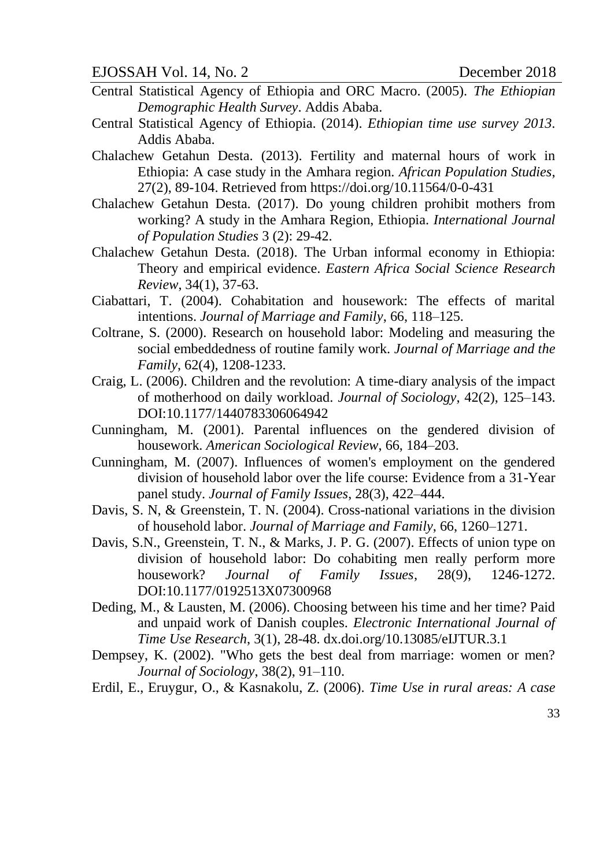- Central Statistical Agency of Ethiopia and ORC Macro. (2005). *The Ethiopian Demographic Health Survey*. Addis Ababa.
- Central Statistical Agency of Ethiopia. (2014). *Ethiopian time use survey 2013*. Addis Ababa.
- Chalachew Getahun Desta. (2013). Fertility and maternal hours of work in Ethiopia: A case study in the Amhara region. *African Population Studies*, 27(2), 89-104. Retrieved from https://doi.org/10.11564/0-0-431
- Chalachew Getahun Desta. (2017). Do young children prohibit mothers from working? A study in the Amhara Region, Ethiopia. *International Journal of Population Studies* 3 (2): 29-42.
- Chalachew Getahun Desta. (2018). The Urban informal economy in Ethiopia: Theory and empirical evidence. *Eastern Africa Social Science Research Review*, 34(1), 37-63.
- Ciabattari, T. (2004). Cohabitation and housework: The effects of marital intentions. *Journal of Marriage and Family*, 66, 118–125.
- Coltrane, S. (2000). Research on household labor: Modeling and measuring the social embeddedness of routine family work. *Journal of Marriage and the Family*, 62(4), 1208-1233.
- Craig, L. (2006). Children and the revolution: A time-diary analysis of the impact of motherhood on daily workload. *Journal of Sociology*, 42(2), 125–143. DOI:10.1177/1440783306064942
- Cunningham, M. (2001). Parental influences on the gendered division of housework. *American Sociological Review*, 66, 184–203.
- Cunningham, M. (2007). Influences of women's employment on the gendered division of household labor over the life course: Evidence from a 31-Year panel study. *Journal of Family Issues*, 28(3), 422–444.
- Davis, S. N, & Greenstein, T. N. (2004). Cross-national variations in the division of household labor. *Journal of Marriage and Family*, 66, 1260–1271.
- Davis, S.N., Greenstein, T. N., & Marks, J. P. G. (2007). Effects of union type on division of household labor: Do cohabiting men really perform more housework? *Journal of Family Issues*, 28(9), 1246-1272. DOI:10.1177/0192513X07300968
- Deding, M., & Lausten, M. (2006). Choosing between his time and her time? Paid and unpaid work of Danish couples. *Electronic International Journal of Time Use Research*, 3(1), 28-48. dx.doi.org/10.13085/eIJTUR.3.1
- Dempsey, K. (2002). "Who gets the best deal from marriage: women or men? *Journal of Sociology*, 38(2), 91–110.
- Erdil, E., Eruygur, O., & Kasnakolu, Z. (2006). *Time Use in rural areas: A case*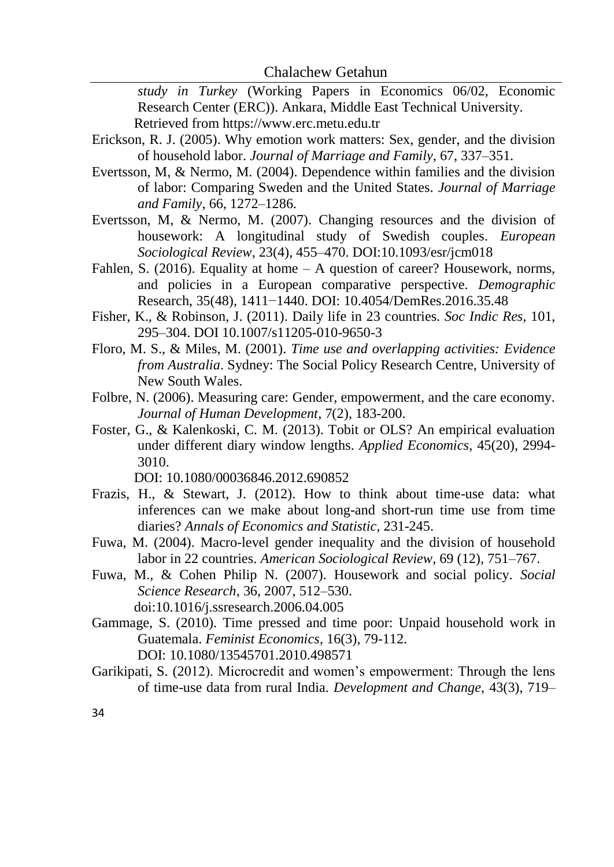*study in Turkey* (Working Papers in Economics 06/02, Economic Research Center (ERC)). Ankara, Middle East Technical University. Retrieved from https://www.erc.metu.edu.tr

- Erickson, R. J. (2005). Why emotion work matters: Sex, gender, and the division of household labor. *Journal of Marriage and Family*, 67, 337–351.
- Evertsson, M, & Nermo, M. (2004). Dependence within families and the division of labor: Comparing Sweden and the United States. *Journal of Marriage and Family*, 66, 1272–1286.
- Evertsson, M, & Nermo, M. (2007). Changing resources and the division of housework: A longitudinal study of Swedish couples. *European Sociological Review*, 23(4), 455–470. DOI:10.1093/esr/jcm018
- Fahlen, S. (2016). Equality at home A question of career? Housework, norms, and policies in a European comparative perspective. *Demographic*  Research, 35(48), 1411−1440. DOI: 10.4054/DemRes.2016.35.48
- Fisher, K., & Robinson, J. (2011). Daily life in 23 countries. *Soc Indic Res*, 101, 295–304. DOI 10.1007/s11205-010-9650-3
- Floro, M. S., & Miles, M. (2001). *Time use and overlapping activities: Evidence from Australia*. Sydney: The Social Policy Research Centre, University of New South Wales.
- Folbre, N. (2006). Measuring care: Gender, empowerment, and the care economy. *Journal of Human Development*, 7(2), 183-200.
- Foster, G., & Kalenkoski, C. M. (2013). Tobit or OLS? An empirical evaluation under different diary window lengths. *Applied Economics*, 45(20), 2994- 3010.

DOI: 10.1080/00036846.2012.690852

- Frazis, H., & Stewart, J. (2012). How to think about time-use data: what inferences can we make about long-and short-run time use from time diaries? *Annals of Economics and Statistic,* 231-245.
- Fuwa, M. (2004). Macro-level gender inequality and the division of household labor in 22 countries. *American Sociological Review*, 69 (12), 751–767.
- Fuwa, M., & Cohen Philip N. (2007). Housework and social policy. *Social Science Research*, 36, 2007, 512–530. doi:10.1016/j.ssresearch.2006.04.005
- Gammage, S. (2010). Time pressed and time poor: Unpaid household work in Guatemala. *Feminist Economics*, 16(3), 79-112. DOI: 10.1080/13545701.2010.498571
- Garikipati, S. (2012). Microcredit and women"s empowerment: Through the lens of time-use data from rural India. *Development and Change,* 43(3), 719–

34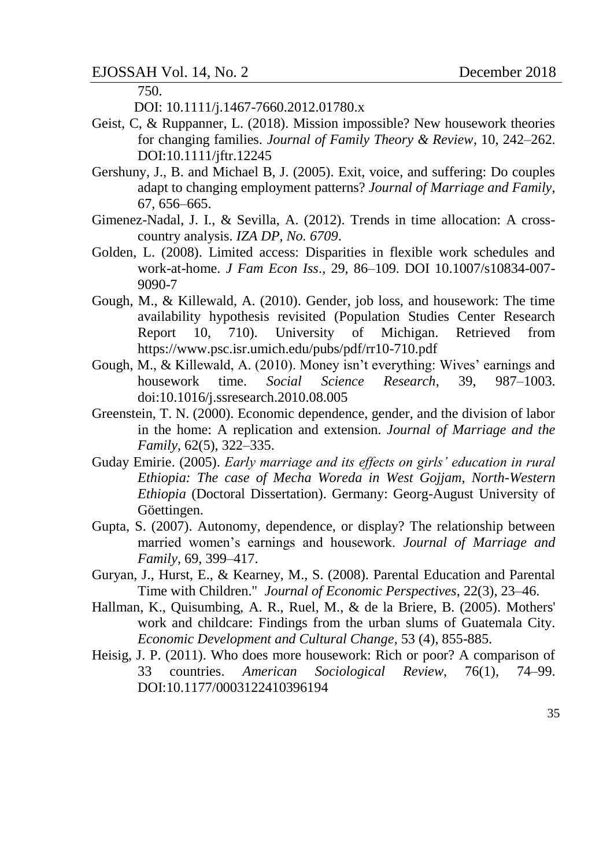750.

DOI: 10.1111/j.1467-7660.2012.01780.x

- Geist, C, & Ruppanner, L. (2018). Mission impossible? New housework theories for changing families. *Journal of Family Theory & Review*, 10, 242–262. DOI:10.1111/jftr.12245
- Gershuny, J., B. and Michael B, J. (2005). Exit, voice, and suffering: Do couples adapt to changing employment patterns? *Journal of Marriage and Family*, 67, 656–665.
- Gimenez-Nadal, J. I., & Sevilla, A. (2012). Trends in time allocation: A crosscountry analysis. *IZA DP, No. 6709*.
- Golden, L. (2008). Limited access: Disparities in flexible work schedules and work-at-home. *J Fam Econ Iss*., 29, 86–109. DOI 10.1007/s10834-007- 9090-7
- Gough, M., & Killewald, A. (2010). Gender, job loss, and housework: The time availability hypothesis revisited (Population Studies Center Research Report 10, 710). University of Michigan. Retrieved from https://www.psc.isr.umich.edu/pubs/pdf/rr10-710.pdf
- Gough, M., & Killewald, A. (2010). Money isn't everything: Wives' earnings and housework time. *Social Science Research*, 39, 987–1003. doi:10.1016/j.ssresearch.2010.08.005
- Greenstein, T. N. (2000). Economic dependence, gender, and the division of labor in the home: A replication and extension. *Journal of Marriage and the Family*, 62(5), 322–335.
- Guday Emirie. (2005). *Early marriage and its effects on girls' education in rural Ethiopia: The case of Mecha Woreda in West Gojjam, North-Western Ethiopia* (Doctoral Dissertation). Germany: Georg-August University of Göettingen.
- Gupta, S. (2007). Autonomy, dependence, or display? The relationship between married women"s earnings and housework. *Journal of Marriage and Family*, 69, 399–417.
- Guryan, J., Hurst, E., & Kearney, M., S. (2008). Parental Education and Parental Time with Children." *Journal of Economic Perspectives*, 22(3), 23–46.
- Hallman, K., Quisumbing, A. R., Ruel, M., & de la Briere, B. (2005). Mothers' work and childcare: Findings from the urban slums of Guatemala City. *Economic Development and Cultural Change*, 53 (4), 855-885.
- Heisig, J. P. (2011). Who does more housework: Rich or poor? A comparison of 33 countries. *American Sociological Review*, 76(1), 74–99. DOI:10.1177/0003122410396194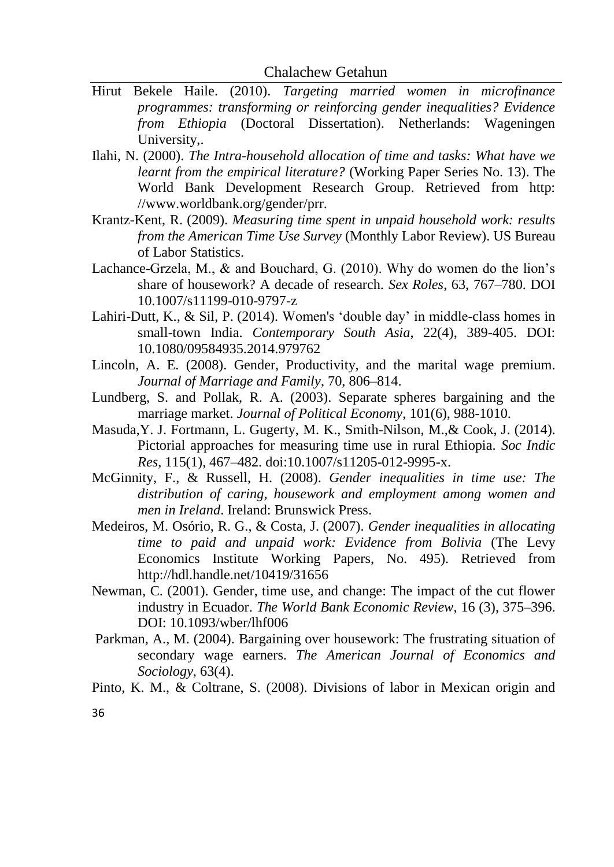- Hirut Bekele Haile. (2010). *Targeting married women in microfinance programmes: transforming or reinforcing gender inequalities? Evidence from Ethiopia* (Doctoral Dissertation). Netherlands: Wageningen University,.
- Ilahi, N. (2000). *The Intra-household allocation of time and tasks: What have we learnt from the empirical literature?* (Working Paper Series No. 13). The World Bank Development Research Group. Retrieved from http: //www.worldbank.org/gender/prr.
- Krantz-Kent, R. (2009). *Measuring time spent in unpaid household work: results from the American Time Use Survey* (Monthly Labor Review). US Bureau of Labor Statistics.
- Lachance-Grzela, M., & and Bouchard, G. (2010). Why do women do the lion"s share of housework? A decade of research. *Sex Roles*, 63, 767–780. DOI 10.1007/s11199-010-9797-z
- Lahiri-Dutt, K., & Sil, P. (2014). Women's "double day" in middle-class homes in small-town India. *Contemporary South Asia*, 22(4), 389-405. DOI: 10.1080/09584935.2014.979762
- Lincoln, A. E. (2008). Gender, Productivity, and the marital wage premium. *Journal of Marriage and Family*, 70, 806–814.
- Lundberg, S. and Pollak, R. A. (2003). Separate spheres bargaining and the marriage market. *Journal of Political Economy*, 101(6), 988-1010.
- Masuda,Y. J. Fortmann, L. Gugerty, M. K., Smith-Nilson, M.,& Cook, J. (2014). Pictorial approaches for measuring time use in rural Ethiopia. *Soc Indic Res*, 115(1), 467–482. doi:10.1007/s11205-012-9995-x.
- McGinnity, F., & Russell, H. (2008). *Gender inequalities in time use: The distribution of caring, housework and employment among women and men in Ireland*. Ireland: Brunswick Press.
- Medeiros, M. Osório, R. G., & Costa, J. (2007). *Gender inequalities in allocating time to paid and unpaid work: Evidence from Bolivia* (The Levy Economics Institute Working Papers, No. 495). Retrieved from http://hdl.handle.net/10419/31656
- Newman, C. (2001). Gender, time use, and change: The impact of the cut flower industry in Ecuador. *The World Bank Economic Review*, 16 (3), 375–396. DOI: 10.1093/wber/lhf006
- Parkman, A., M. (2004). Bargaining over housework: The frustrating situation of secondary wage earners. *The American Journal of Economics and Sociology*, 63(4).
- Pinto, K. M., & Coltrane, S. (2008). Divisions of labor in Mexican origin and

<sup>36</sup>